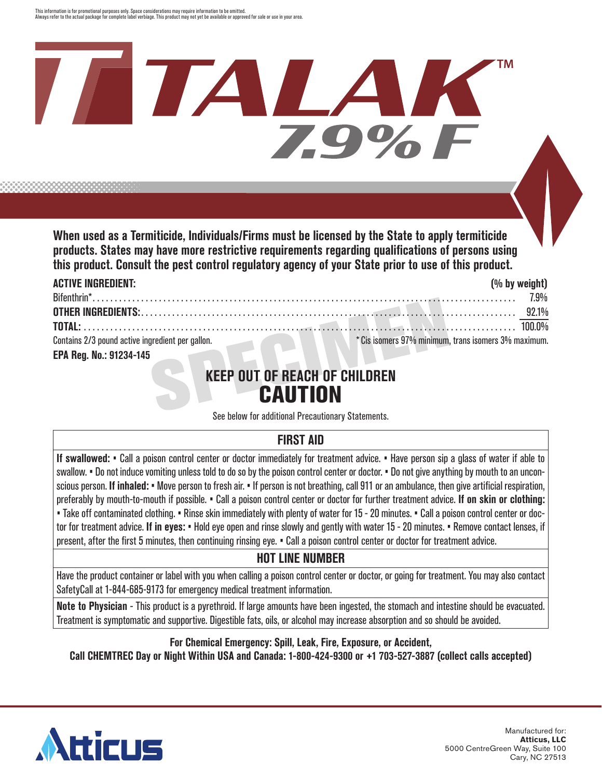This information is for promotional purposes only. Space considerations may require information to be omitted. Always refer to the actual package for complete label verbiage. This product may not yet be available or approved for sale or use in your area.

# **TM** IA **ZS%**

**When used as a Termiticide, Individuals/Firms must be licensed by the State to apply termiticide products. States may have more restrictive requirements regarding qualifications of persons using this product. Consult the pest control regulatory agency of your State prior to use of this product.**

| <b>ACTIVE INGREDIENT:</b>                          | (% by weight)                                        |
|----------------------------------------------------|------------------------------------------------------|
|                                                    |                                                      |
|                                                    |                                                      |
|                                                    |                                                      |
| Contains $2/3$ pound active ingredient per gallon. | * Cis isomers 97% minimum, trans isomers 3% maximum. |
| EPA Reg. No.: 91234-145                            |                                                      |

# **KEEP OUT OF REACH OF CHILDREN** CAUTION

See below for additional Precautionary Statements.

# **FIRST AID**

**If swallowed:** • Call a poison control center or doctor immediately for treatment advice. • Have person sip a glass of water if able to swallow. • Do not induce vomiting unless told to do so by the poison control center or doctor. • Do not give anything by mouth to an unconscious person. **If inhaled:** • Move person to fresh air. • If person is not breathing, call 911 or an ambulance, then give artificial respiration, preferably by mouth-to-mouth if possible. • Call a poison control center or doctor for further treatment advice. **If on skin or clothing:** • Take off contaminated clothing. • Rinse skin immediately with plenty of water for 15 - 20 minutes. • Call a poison control center or doctor for treatment advice. **If in eyes:** • Hold eye open and rinse slowly and gently with water 15 - 20 minutes. • Remove contact lenses, if present, after the first 5 minutes, then continuing rinsing eye. • Call a poison control center or doctor for treatment advice.

# **HOT LINE NUMBER**

Have the product container or label with you when calling a poison control center or doctor, or going for treatment. You may also contact SafetyCall at 1-844-685-9173 for emergency medical treatment information.

**Note to Physician** - This product is a pyrethroid. If large amounts have been ingested, the stomach and intestine should be evacuated. Treatment is symptomatic and supportive. Digestible fats, oils, or alcohol may increase absorption and so should be avoided.

# **For Chemical Emergency: Spill, Leak, Fire, Exposure, or Accident,**

**Call CHEMTREC Day or Night Within USA and Canada: 1-800-424-9300 or +1 703-527-3887 (collect calls accepted)** 



Manufactured for: **Atticus, LLC** 5000 CentreGreen Way, Suite 100 Cary, NC 27513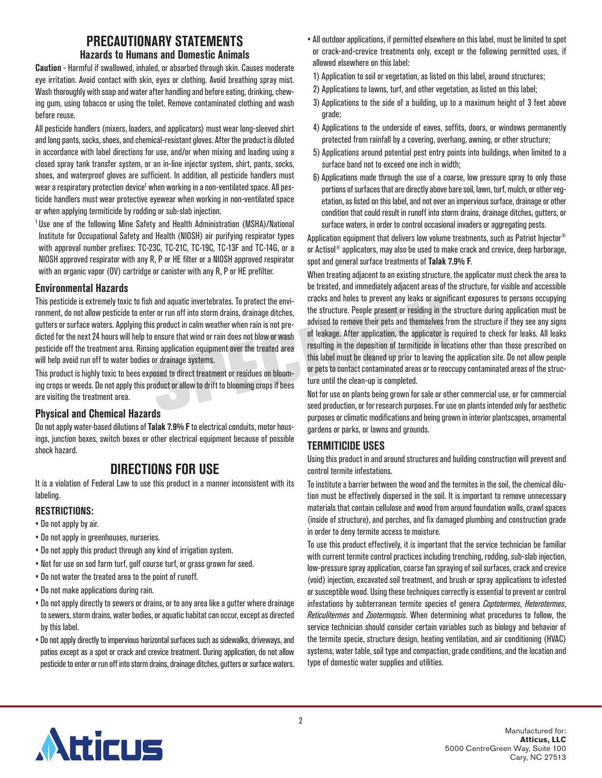# **PRECAUTIONARY STATEMENTS**

### **Hazards to Humans and Domestic Animals**

**Caution** - Harmful if swallowed, inhaled, or absorbed through skin. Causes moderate eye irritation. Avoid contact with skin, eyes or clothing. Avoid breathing spray mist. Wash thoroughly with soap and water after handling and before eating, drinking, chewing gum, using tobacco or using the toilet. Remove contaminated clothing and wash before reuse.

All pesticide handlers (mixers, loaders, and applicators) must wear long-sleeved shirt and long pants, socks, shoes, and chemical-resistant gloves. After the product is diluted in accordance with label directions for use, and/or when mixing and loading using a closed spray tank transfer system, or an in-line injector system, shirt, pants, socks, shoes, and waterproof gloves are sufficient. In addition, all pesticide handlers must wear a respiratory protection device<sup>1</sup> when working in a non-ventilated space. All pesticide handlers must wear protective eyewear when working in non-ventilated space or when applying termiticide by rodding or sub-slab injection.

<sup>1</sup> Use one of the following Mine Safety and Health Administration (MSHA)/National Institute for Occupational Safety and Health (NIOSH) air purifying respirator types with approval number prefixes: TC-23C, TC-21C, TC-19C, TC-13F and TC-14G, or a NIOSH approved respirator with any R, P or HE filter or a NIOSH approved respirator with an organic vapor (OV) cartridge or canister with any R, P or HE prefilter.

#### **Environmental Hazards**

This pesticide is extremely toxic to fish and aquatic invertebrates. To protect the environment, do not allow pesticide to enter or run off into storm drains, drainage ditches, gutters or surface waters. Applying this product in calm weather when rain is not predicted for the next 24 hours will help to ensure that wind or rain does not blow or wash pesticide off the treatment area. Rinsing application equipment over the treated area will help avoid run off to water bodies or drainage systems.

This product is highly toxic to bees exposed to direct treatment or residues on blooming crops or weeds. Do not apply this product or allow to drift to blooming crops if bees are visiting the treatment area.

# **Physical and Chemical Hazards**

Do not apply water-based dilutions of **Talak 7.9% F** to electrical conduits, motor housings, junction boxes, switch boxes or other electrical equipment because of possible shock hazard.

# **DIRECTIONS FOR USE**

It is a violation of Federal Law to use this product in a manner inconsistent with its labeling.

# **RESTRICTIONS:**

- Do not apply by air.
- Do not apply in greenhouses, nurseries.
- Do not apply this product through any kind of irrigation system.
- Not for use on sod farm turf, golf course turf, or grass grown for seed.
- Do not water the treated area to the point of runoff.
- Do not make applications during rain.
- Do not apply directly to sewers or drains, or to any area like a gutter where drainage to sewers, storm drains, water bodies, or aquatic habitat can occur, except as directed by this label.
- Do not apply directly to impervious horizontal surfaces such as sidewalks, driveways, and patios except as a spot or crack and crevice treatment. During application, do not allow pesticide to enter or run off into storm drains, drainage ditches, gutters or surface waters.
- All outdoor applications, if permitted elsewhere on this label, must be limited to spot or crack-and-crevice treatments only, except or the following permitted uses, if allowed elsewhere on this label:
- 1) Application to soil or vegetation, as listed on this label, around structures;
- 2) Applications to lawns, turf, and other vegetation, as listed on this label;
- 3) Applications to the side of a building, up to a maximum height of 3 feet above grade;
- 4) Applications to the underside of eaves, soffits, doors, or windows permanently protected from rainfall by a covering, overhang, awning, or other structure;
- 5) Applications around potential pest entry points into buildings, when limited to a surface band not to exceed one inch in width;
- 6) Applications made through the use of a coarse, low pressure spray to only those portions of surfaces that are directly above bare soil, lawn, turf, mulch, or other vegetation, as listed on this label, and not over an impervious surface, drainage or other condition that could result in runoff into storm drains, drainage ditches, gutters, or surface waters, in order to control occasional invaders or aggregating pests.

Application equipment that delivers low volume treatments, such as Patriot Injector® or Actisol® applicators, may also be used to make crack and crevice, deep harborage, spot and general surface treatments of **Talak 7.9% F**.

When treating adjacent to an existing structure, the applicator must check the area to be treated, and immediately adjacent areas of the structure, for visible and accessible cracks and holes to prevent any leaks or significant exposures to persons occupying the structure. People present or residing in the structure during application must be advised to remove their pets and themselves from the structure if they see any signs of leakage. After application, the applicator is required to check for leaks. All leaks resulting in the deposition of termiticide in locations other than those prescribed on this label must be cleaned up prior to leaving the application site. Do not allow people or pets to contact contaminated areas or to reoccupy contaminated areas of the structure until the clean-up is completed.

Not for use on plants being grown for sale or other commercial use, or for commercial seed production, or for research purposes. For use on plants intended only for aesthetic purposes or climatic modifications and being grown in interior plantscapes, ornamental gardens or parks, or lawns and grounds.

# **TERMITICIDE USES**

Using this product in and around structures and building construction will prevent and control termite infestations.

To institute a barrier between the wood and the termites in the soil, the chemical dilution must be effectively dispersed in the soil. It is important to remove unnecessary materials that contain cellulose and wood from around foundation walls, crawl spaces (inside of structure), and porches, and fix damaged plumbing and construction grade in order to deny termite access to moisture.

To use this product effectively, it is important that the service technician be familiar with current termite control practices including trenching, rodding, sub-slab injection, low-pressure spray application, coarse fan spraying of soil surfaces, crack and crevice (void) injection, excavated soil treatment, and brush or spray applications to infested or susceptible wood. Using these techniques correctly is essential to prevent or control infestations by subterranean termite species of genera *Coptotermes*, *Heterotermes*, *Reticulitermes* and *Zootermopsis*. When determining what procedures to follow, the service technician should consider certain variables such as biology and behavior of the termite specie, structure design, heating ventilation, and air conditioning (HVAC) systems, water table, soil type and compaction, grade conditions, and the location and type of domestic water supplies and utilities.

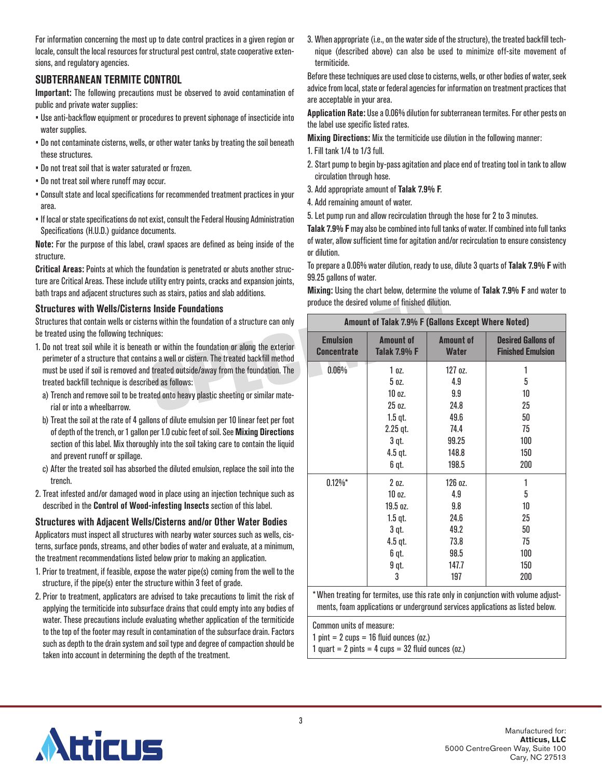For information concerning the most up to date control practices in a given region or locale, consult the local resources for structural pest control, state cooperative extensions, and regulatory agencies.

# **SUBTERRANEAN TERMITE CONTROL**

**Important:** The following precautions must be observed to avoid contamination of public and private water supplies:

- Use anti-backflow equipment or procedures to prevent siphonage of insecticide into water supplies.
- Do not contaminate cisterns, wells, or other water tanks by treating the soil beneath these structures.
- Do not treat soil that is water saturated or frozen.
- Do not treat soil where runoff may occur.
- Consult state and local specifications for recommended treatment practices in your area.
- If local or state specifications do not exist, consult the Federal Housing Administration Specifications (H.U.D.) guidance documents.

**Note:** For the purpose of this label, crawl spaces are defined as being inside of the structure.

**Critical Areas:** Points at which the foundation is penetrated or abuts another structure are Critical Areas. These include utility entry points, cracks and expansion joints, bath traps and adjacent structures such as stairs, patios and slab additions.

#### **Structures with Wells/Cisterns Inside Foundations**

Structures that contain wells or cisterns within the foundation of a structure can only be treated using the following techniques:

- 1. Do not treat soil while it is beneath or within the foundation or along the exterior perimeter of a structure that contains a well or cistern. The treated backfill method must be used if soil is removed and treated outside/away from the foundation. The treated backfill technique is described as follows:
	- a) Trench and remove soil to be treated onto heavy plastic sheeting or similar material or into a wheelbarrow.
	- b) Treat the soil at the rate of 4 gallons of dilute emulsion per 10 linear feet per foot of depth of the trench, or 1 gallon per 1.0 cubic feet of soil. See **Mixing Directions** section of this label. Mix thoroughly into the soil taking care to contain the liquid and prevent runoff or spillage.
	- c) After the treated soil has absorbed the diluted emulsion, replace the soil into the trench.
- 2. Treat infested and/or damaged wood in place using an injection technique such as described in the **Control of Wood-infesting Insects** section of this label.

# **Structures with Adjacent Wells/Cisterns and/or Other Water Bodies**

Applicators must inspect all structures with nearby water sources such as wells, cisterns, surface ponds, streams, and other bodies of water and evaluate, at a minimum, the treatment recommendations listed below prior to making an application.

- 1. Prior to treatment, if feasible, expose the water pipe(s) coming from the well to the structure, if the pipe(s) enter the structure within 3 feet of grade.
- 2. Prior to treatment, applicators are advised to take precautions to limit the risk of applying the termiticide into subsurface drains that could empty into any bodies of water. These precautions include evaluating whether application of the termiticide to the top of the footer may result in contamination of the subsurface drain. Factors such as depth to the drain system and soil type and degree of compaction should be taken into account in determining the depth of the treatment.

3. When appropriate (i.e., on the water side of the structure), the treated backfill technique (described above) can also be used to minimize off-site movement of termiticide.

Before these techniques are used close to cisterns, wells, or other bodies of water, seek advice from local, state or federal agencies for information on treatment practices that are acceptable in your area.

**Application Rate:** Use a 0.06% dilution for subterranean termites. For other pests on the label use specific listed rates.

**Mixing Directions:** Mix the termiticide use dilution in the following manner:

1. Fill tank 1/4 to 1/3 full.

- 2. Start pump to begin by-pass agitation and place end of treating tool in tank to allow circulation through hose.
- 3. Add appropriate amount of **Talak 7.9% F**.
- 4. Add remaining amount of water.
- 5. Let pump run and allow recirculation through the hose for 2 to 3 minutes.

**Talak 7.9% F** may also be combined into full tanks of water. If combined into full tanks of water, allow sufficient time for agitation and/or recirculation to ensure consistency or dilution.

To prepare a 0.06% water dilution, ready to use, dilute 3 quarts of **Talak 7.9% F** with 99.25 gallons of water.

**Mixing:** Using the chart below, determine the volume of **Talak 7.9% F** and water to produce the desired volume of finished dilution.

|                                       | Amount of Talak 7.9% F (Gallons Except Where Noted) |                                  |                                                       |  |  |  |  |  |
|---------------------------------------|-----------------------------------------------------|----------------------------------|-------------------------------------------------------|--|--|--|--|--|
| <b>Emulsion</b><br><b>Concentrate</b> | <b>Amount of</b><br><b>Talak 7.9% F</b>             | <b>Amount of</b><br><b>Water</b> | <b>Desired Gallons of</b><br><b>Finished Emulsion</b> |  |  |  |  |  |
| 0.06%                                 | 1 oz.                                               | $127$ oz.                        | 1                                                     |  |  |  |  |  |
|                                       | 5 oz.                                               | 4.9                              | 5                                                     |  |  |  |  |  |
|                                       | 10 oz.                                              | 9.9                              | 10                                                    |  |  |  |  |  |
|                                       | 25 oz.                                              | 24.8                             | 25                                                    |  |  |  |  |  |
|                                       | $1.5$ qt.                                           | 49.6                             | 50                                                    |  |  |  |  |  |
|                                       | $2.25$ qt.                                          | 74.4                             | 75                                                    |  |  |  |  |  |
|                                       | 3 qt.                                               | 99.25                            | 100                                                   |  |  |  |  |  |
|                                       | $4.5$ qt.                                           | 148.8                            | 150                                                   |  |  |  |  |  |
|                                       | 6 qt.                                               | 198.5                            | 200                                                   |  |  |  |  |  |
| $0.12\%$ *                            | 20z                                                 | 126 oz.                          | 1                                                     |  |  |  |  |  |
|                                       | $10$ oz.                                            | 4.9                              | 5                                                     |  |  |  |  |  |
|                                       | 19.5 oz.                                            | 9.8                              | 10                                                    |  |  |  |  |  |
|                                       | $1.5$ qt.                                           | 24.6                             | 25                                                    |  |  |  |  |  |
|                                       | 3 qt.                                               | 49.2                             | 50                                                    |  |  |  |  |  |
|                                       | $4.5$ qt.                                           | 73.8                             | 75                                                    |  |  |  |  |  |
|                                       | 6 qt.                                               | 98.5                             | 100                                                   |  |  |  |  |  |
|                                       | 9 qt.                                               | 147.7                            | 150                                                   |  |  |  |  |  |
|                                       | 3                                                   | 197                              | 200                                                   |  |  |  |  |  |

\*When treating for termites, use this rate only in conjunction with volume adjustments, foam applications or underground services applications as listed below.

Common units of measure:

- $1$  pint =  $2$  cups =  $16$  fluid ounces (oz.)
- 1 quart =  $2$  pints =  $4$  cups =  $32$  fluid ounces (oz.)

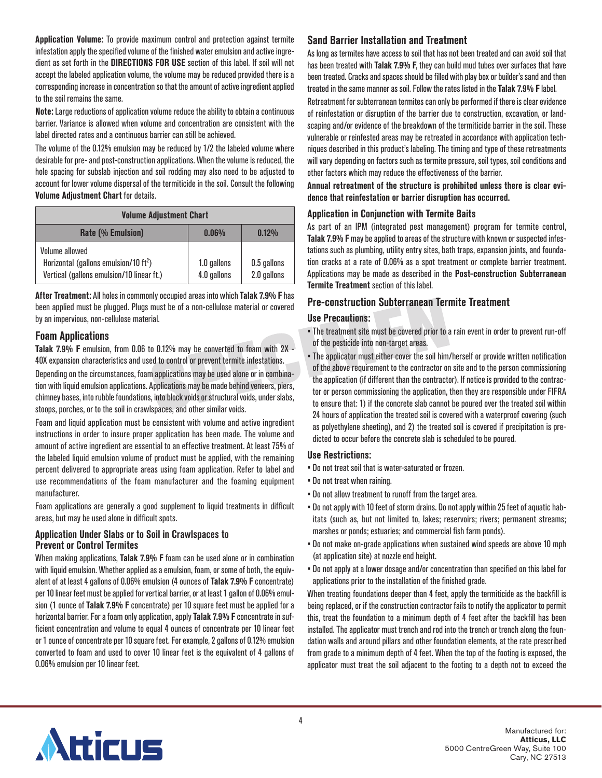**Application Volume:** To provide maximum control and protection against termite infestation apply the specified volume of the finished water emulsion and active ingredient as set forth in the **DIRECTIONS FOR USE** section of this label. If soil will not accept the labeled application volume, the volume may be reduced provided there is a corresponding increase in concentration so that the amount of active ingredient applied to the soil remains the same.

**Note:** Large reductions of application volume reduce the ability to obtain a continuous barrier. Variance is allowed when volume and concentration are consistent with the label directed rates and a continuous barrier can still be achieved.

The volume of the 0.12% emulsion may be reduced by 1/2 the labeled volume where desirable for pre- and post-construction applications. When the volume is reduced, the hole spacing for subslab injection and soil rodding may also need to be adjusted to account for lower volume dispersal of the termiticide in the soil. Consult the following **Volume Adjustment Chart** for details.

| <b>Volume Adjustment Chart</b>                                                                                   |                            |                            |  |  |  |
|------------------------------------------------------------------------------------------------------------------|----------------------------|----------------------------|--|--|--|
| Rate (% Emulsion)<br>0.06%<br>0.12%                                                                              |                            |                            |  |  |  |
| Volume allowed<br>Horizontal (gallons emulsion/10 ft <sup>2</sup> )<br>Vertical (gallons emulsion/10 linear ft.) | 1.0 gallons<br>4.0 gallons | 0.5 gallons<br>2.0 gallons |  |  |  |

**After Treatment:** All holes in commonly occupied areas into which **Talak 7.9% F** has been applied must be plugged. Plugs must be of a non-cellulose material or covered by an impervious, non-cellulose material.

#### **Foam Applications**

**Talak 7.9% F** emulsion, from 0.06 to 0.12% may be converted to foam with 2X - 40X expansion characteristics and used to control or prevent termite infestations.

Depending on the circumstances, foam applications may be used alone or in combination with liquid emulsion applications. Applications may be made behind veneers, piers, chimney bases, into rubble foundations, into block voids or structural voids, under slabs, stoops, porches, or to the soil in crawlspaces, and other similar voids.

Foam and liquid application must be consistent with volume and active ingredient instructions in order to insure proper application has been made. The volume and amount of active ingredient are essential to an effective treatment. At least 75% of the labeled liquid emulsion volume of product must be applied, with the remaining percent delivered to appropriate areas using foam application. Refer to label and use recommendations of the foam manufacturer and the foaming equipment manufacturer.

Foam applications are generally a good supplement to liquid treatments in difficult areas, but may be used alone in difficult spots.

#### **Application Under Slabs or to Soil in Crawlspaces to Prevent or Control Termites**

When making applications, **Talak 7.9% F** foam can be used alone or in combination with liquid emulsion. Whether applied as a emulsion, foam, or some of both, the equivalent of at least 4 gallons of 0.06% emulsion (4 ounces of **Talak 7.9% F** concentrate) per 10 linear feet must be applied for vertical barrier, or at least 1 gallon of 0.06% emulsion (1 ounce of **Talak 7.9% F** concentrate) per 10 square feet must be applied for a horizontal barrier. For a foam only application, apply **Talak 7.9% F** concentrate in sufficient concentration and volume to equal 4 ounces of concentrate per 10 linear feet or 1 ounce of concentrate per 10 square feet. For example, 2 gallons of 0.12% emulsion converted to foam and used to cover 10 linear feet is the equivalent of 4 gallons of 0.06% emulsion per 10 linear feet.

# **Sand Barrier Installation and Treatment**

As long as termites have access to soil that has not been treated and can avoid soil that has been treated with **Talak 7.9% F**, they can build mud tubes over surfaces that have been treated. Cracks and spaces should be filled with play box or builder's sand and then treated in the same manner as soil. Follow the rates listed in the **Talak 7.9% F** label.

Retreatment for subterranean termites can only be performed if there is clear evidence of reinfestation or disruption of the barrier due to construction, excavation, or landscaping and/or evidence of the breakdown of the termiticide barrier in the soil. These vulnerable or reinfested areas may be retreated in accordance with application techniques described in this product's labeling. The timing and type of these retreatments will vary depending on factors such as termite pressure, soil types, soil conditions and other factors which may reduce the effectiveness of the barrier.

**Annual retreatment of the structure is prohibited unless there is clear evidence that reinfestation or barrier disruption has occurred.**

#### **Application in Conjunction with Termite Baits**

As part of an IPM (integrated pest management) program for termite control, **Talak 7.9% F** may be applied to areas of the structure with known or suspected infestations such as plumbing, utility entry sites, bath traps, expansion joints, and foundation cracks at a rate of 0.06% as a spot treatment or complete barrier treatment. Applications may be made as described in the **Post-construction Subterranean Termite Treatment** section of this label.

#### **Pre-construction Subterranean Termite Treatment**

#### **Use Precautions:**

- The treatment site must be covered prior to a rain event in order to prevent run-off of the pesticide into non-target areas.
- The applicator must either cover the soil him/herself or provide written notification of the above requirement to the contractor on site and to the person commissioning the application (if different than the contractor). If notice is provided to the contractor or person commissioning the application, then they are responsible under FIFRA to ensure that: 1) if the concrete slab cannot be poured over the treated soil within 24 hours of application the treated soil is covered with a waterproof covering (such as polyethylene sheeting), and 2) the treated soil is covered if precipitation is predicted to occur before the concrete slab is scheduled to be poured.

#### **Use Restrictions:**

- Do not treat soil that is water-saturated or frozen.
- Do not treat when raining.
- Do not allow treatment to runoff from the target area.
- Do not apply with 10 feet of storm drains. Do not apply within 25 feet of aquatic habitats (such as, but not limited to, lakes; reservoirs; rivers; permanent streams; marshes or ponds; estuaries; and commercial fish farm ponds).
- Do not make on-grade applications when sustained wind speeds are above 10 mph (at application site) at nozzle end height.
- Do not apply at a lower dosage and/or concentration than specified on this label for applications prior to the installation of the finished grade.

When treating foundations deeper than 4 feet, apply the termiticide as the backfill is being replaced, or if the construction contractor fails to notify the applicator to permit this, treat the foundation to a minimum depth of 4 feet after the backfill has been installed. The applicator must trench and rod into the trench or trench along the foundation walls and around pillars and other foundation elements, at the rate prescribed from grade to a minimum depth of 4 feet. When the top of the footing is exposed, the applicator must treat the soil adjacent to the footing to a depth not to exceed the

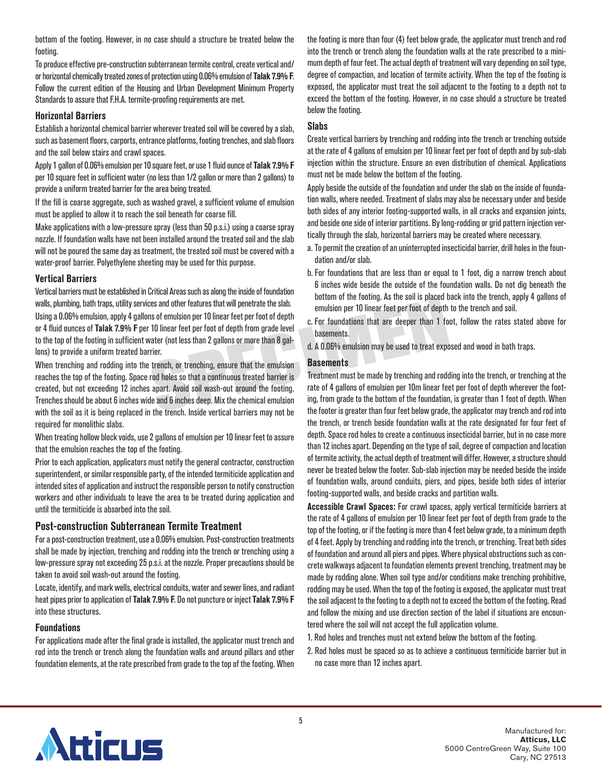bottom of the footing. However, in no case should a structure be treated below the footing.

To produce effective pre-construction subterranean termite control, create vertical and/ or horizontal chemically treated zones of protection using 0.06% emulsion of **Talak 7.9% F**. Follow the current edition of the Housing and Urban Development Minimum Property Standards to assure that F.H.A. termite-proofing requirements are met.

#### **Horizontal Barriers**

Establish a horizontal chemical barrier wherever treated soil will be covered by a slab, such as basement floors, carports, entrance platforms, footing trenches, and slab floors and the soil below stairs and crawl spaces.

Apply 1 gallon of 0.06% emulsion per 10 square feet, or use 1 fluid ounce of **Talak 7.9% F** per 10 square feet in sufficient water (no less than 1/2 gallon or more than 2 gallons) to provide a uniform treated barrier for the area being treated.

If the fill is coarse aggregate, such as washed gravel, a sufficient volume of emulsion must be applied to allow it to reach the soil beneath for coarse fill.

Make applications with a low-pressure spray (less than 50 p.s.i.) using a coarse spray nozzle. If foundation walls have not been installed around the treated soil and the slab will not be poured the same day as treatment, the treated soil must be covered with a water-proof barrier. Polyethylene sheeting may be used for this purpose.

#### **Vertical Barriers**

Vertical barriers must be established in Critical Areas such as along the inside of foundation walls, plumbing, bath traps, utility services and other features that will penetrate the slab. Using a 0.06% emulsion, apply 4 gallons of emulsion per 10 linear feet per foot of depth or 4 fluid ounces of **Talak 7.9% F** per 10 linear feet per foot of depth from grade level to the top of the footing in sufficient water (not less than 2 gallons or more than 8 gallons) to provide a uniform treated barrier.

When trenching and rodding into the trench, or trenching, ensure that the emulsion reaches the top of the footing. Space rod holes so that a continuous treated barrier is created, but not exceeding 12 inches apart. Avoid soil wash-out around the footing. Trenches should be about 6 inches wide and 6 inches deep. Mix the chemical emulsion with the soil as it is being replaced in the trench. Inside vertical barriers may not be required for monolithic slabs.

When treating hollow block voids, use 2 gallons of emulsion per 10 linear feet to assure that the emulsion reaches the top of the footing.

Prior to each application, applicators must notify the general contractor, construction superintendent, or similar responsible party, of the intended termiticide application and intended sites of application and instruct the responsible person to notify construction workers and other individuals to leave the area to be treated during application and until the termiticide is absorbed into the soil.

# **Post-construction Subterranean Termite Treatment**

For a post-construction treatment, use a 0.06% emulsion. Post-construction treatments shall be made by injection, trenching and rodding into the trench or trenching using a low-pressure spray not exceeding 25 p.s.i. at the nozzle. Proper precautions should be taken to avoid soil wash-out around the footing.

Locate, identify, and mark wells, electrical conduits, water and sewer lines, and radiant heat pipes prior to application of **Talak 7.9% F**. Do not puncture or inject **Talak 7.9% F** into these structures.

#### **Foundations**

For applications made after the final grade is installed, the applicator must trench and rod into the trench or trench along the foundation walls and around pillars and other foundation elements, at the rate prescribed from grade to the top of the footing. When the footing is more than four (4) feet below grade, the applicator must trench and rod into the trench or trench along the foundation walls at the rate prescribed to a minimum depth of four feet. The actual depth of treatment will vary depending on soil type, degree of compaction, and location of termite activity. When the top of the footing is exposed, the applicator must treat the soil adjacent to the footing to a depth not to exceed the bottom of the footing. However, in no case should a structure be treated below the footing.

#### **Slabs**

Create vertical barriers by trenching and rodding into the trench or trenching outside at the rate of 4 gallons of emulsion per 10 linear feet per foot of depth and by sub-slab injection within the structure. Ensure an even distribution of chemical. Applications must not be made below the bottom of the footing.

Apply beside the outside of the foundation and under the slab on the inside of foundation walls, where needed. Treatment of slabs may also be necessary under and beside both sides of any interior footing-supported walls, in all cracks and expansion joints, and beside one side of interior partitions. By long-rodding or grid pattern injection vertically through the slab, horizontal barriers may be created where necessary.

- a. To permit the creation of an uninterrupted insecticidal barrier, drill holes in the foundation and/or slab.
- b. For foundations that are less than or equal to 1 foot, dig a narrow trench about 6 inches wide beside the outside of the foundation walls. Do not dig beneath the bottom of the footing. As the soil is placed back into the trench, apply 4 gallons of emulsion per 10 linear feet per foot of depth to the trench and soil.
- c. For foundations that are deeper than 1 foot, follow the rates stated above for basements.
- d. A 0.06% emulsion may be used to treat exposed and wood in bath traps.

#### **Basements**

Treatment must be made by trenching and rodding into the trench, or trenching at the rate of 4 gallons of emulsion per 10m linear feet per foot of depth wherever the footing, from grade to the bottom of the foundation, is greater than 1 foot of depth. When the footer is greater than four feet below grade, the applicator may trench and rod into the trench, or trench beside foundation walls at the rate designated for four feet of depth. Space rod holes to create a continuous insecticidal barrier, but in no case more than 12 inches apart. Depending on the type of soil, degree of compaction and location of termite activity, the actual depth of treatment will differ. However, a structure should never be treated below the footer. Sub-slab injection may be needed beside the inside of foundation walls, around conduits, piers, and pipes, beside both sides of interior footing-supported walls, and beside cracks and partition walls.

**Accessible Crawl Spaces:** For crawl spaces, apply vertical termiticide barriers at the rate of 4 gallons of emulsion per 10 linear feet per foot of depth from grade to the top of the footing, or if the footing is more than 4 feet below grade, to a minimum depth of 4 feet. Apply by trenching and rodding into the trench, or trenching. Treat both sides of foundation and around all piers and pipes. Where physical obstructions such as concrete walkways adjacent to foundation elements prevent trenching, treatment may be made by rodding alone. When soil type and/or conditions make trenching prohibitive, rodding may be used. When the top of the footing is exposed, the applicator must treat the soil adjacent to the footing to a depth not to exceed the bottom of the footing. Read and follow the mixing and use direction section of the label if situations are encountered where the soil will not accept the full application volume.

1. Rod holes and trenches must not extend below the bottom of the footing.

2. Rod holes must be spaced so as to achieve a continuous termiticide barrier but in no case more than 12 inches apart.

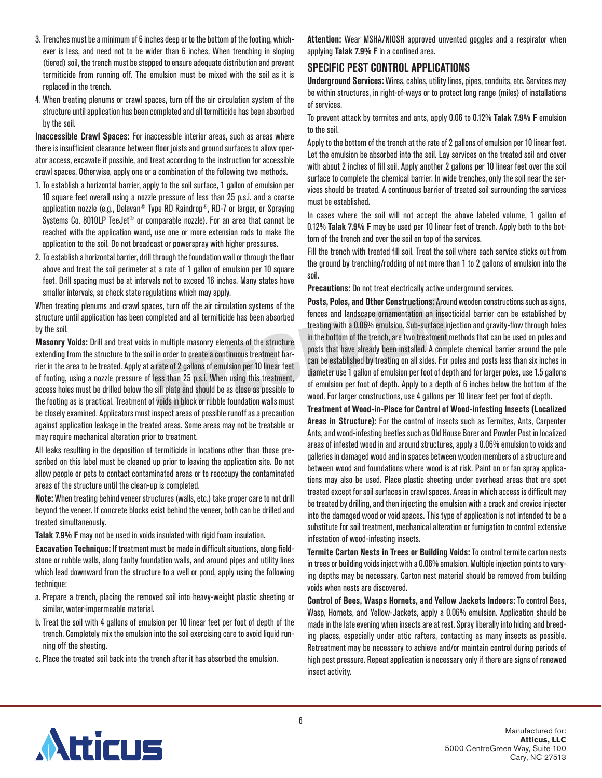- 3. Trenches must be a minimum of 6 inches deep or to the bottom of the footing, whichever is less, and need not to be wider than 6 inches. When trenching in sloping (tiered) soil, the trench must be stepped to ensure adequate distribution and prevent termiticide from running off. The emulsion must be mixed with the soil as it is replaced in the trench.
- 4. When treating plenums or crawl spaces, turn off the air circulation system of the structure until application has been completed and all termiticide has been absorbed by the soil.

**Inaccessible Crawl Spaces:** For inaccessible interior areas, such as areas where there is insufficient clearance between floor joists and ground surfaces to allow operator access, excavate if possible, and treat according to the instruction for accessible crawl spaces. Otherwise, apply one or a combination of the following two methods.

- 1. To establish a horizontal barrier, apply to the soil surface, 1 gallon of emulsion per 10 square feet overall using a nozzle pressure of less than 25 p.s.i. and a coarse application nozzle (e.g., Delavan<sup>®</sup> Type RD Raindrop®, RD-7 or larger, or Spraying Systems Co. 8010LP TeeJet<sup>®</sup> or comparable nozzle). For an area that cannot be reached with the application wand, use one or more extension rods to make the application to the soil. Do not broadcast or powerspray with higher pressures.
- 2. To establish a horizontal barrier, drill through the foundation wall or through the floor above and treat the soil perimeter at a rate of 1 gallon of emulsion per 10 square feet. Drill spacing must be at intervals not to exceed 16 inches. Many states have smaller intervals, so check state regulations which may apply.

When treating plenums and crawl spaces, turn off the air circulation systems of the structure until application has been completed and all termiticide has been absorbed by the soil.

**Masonry Voids:** Drill and treat voids in multiple masonry elements of the structure extending from the structure to the soil in order to create a continuous treatment barrier in the area to be treated. Apply at a rate of 2 gallons of emulsion per 10 linear feet of footing, using a nozzle pressure of less than 25 p.s.i. When using this treatment, access holes must be drilled below the sill plate and should be as close as possible to the footing as is practical. Treatment of voids in block or rubble foundation walls must be closely examined. Applicators must inspect areas of possible runoff as a precaution against application leakage in the treated areas. Some areas may not be treatable or may require mechanical alteration prior to treatment.

All leaks resulting in the deposition of termiticide in locations other than those prescribed on this label must be cleaned up prior to leaving the application site. Do not allow people or pets to contact contaminated areas or to reoccupy the contaminated areas of the structure until the clean-up is completed.

**Note:** When treating behind veneer structures (walls, etc.) take proper care to not drill beyond the veneer. If concrete blocks exist behind the veneer, both can be drilled and treated simultaneously.

**Talak 7.9% F** may not be used in voids insulated with rigid foam insulation.

**Excavation Technique:** If treatment must be made in difficult situations, along fieldstone or rubble walls, along faulty foundation walls, and around pipes and utility lines which lead downward from the structure to a well or pond, apply using the following technique:

- a. Prepare a trench, placing the removed soil into heavy-weight plastic sheeting or similar, water-impermeable material.
- b. Treat the soil with 4 gallons of emulsion per 10 linear feet per foot of depth of the trench. Completely mix the emulsion into the soil exercising care to avoid liquid running off the sheeting.
- c. Place the treated soil back into the trench after it has absorbed the emulsion.

**Attention:** Wear MSHA/NIOSH approved unvented goggles and a respirator when applying **Talak 7.9% F** in a confined area.

# **SPECIFIC PEST CONTROL APPLICATIONS**

**Underground Services:** Wires, cables, utility lines, pipes, conduits, etc. Services may be within structures, in right-of-ways or to protect long range (miles) of installations of services.

To prevent attack by termites and ants, apply 0.06 to 0.12% **Talak 7.9% F** emulsion to the soil.

Apply to the bottom of the trench at the rate of 2 gallons of emulsion per 10 linear feet. Let the emulsion be absorbed into the soil. Lay services on the treated soil and cover with about 2 inches of fill soil. Apply another 2 gallons per 10 linear feet over the soil surface to complete the chemical barrier. In wide trenches, only the soil near the services should be treated. A continuous barrier of treated soil surrounding the services must be established.

In cases where the soil will not accept the above labeled volume, 1 gallon of 0.12% **Talak 7.9% F** may be used per 10 linear feet of trench. Apply both to the bottom of the trench and over the soil on top of the services.

Fill the trench with treated fill soil. Treat the soil where each service sticks out from the ground by trenching/rodding of not more than 1 to 2 gallons of emulsion into the soil.

**Precautions:** Do not treat electrically active underground services.

**Posts, Poles, and Other Constructions:** Around wooden constructions such as signs, fences and landscape ornamentation an insecticidal barrier can be established by treating with a 0.06% emulsion. Sub-surface injection and gravity-flow through holes in the bottom of the trench, are two treatment methods that can be used on poles and posts that have already been installed. A complete chemical barrier around the pole can be established by treating on all sides. For poles and posts less than six inches in diameter use 1 gallon of emulsion per foot of depth and for larger poles, use 1.5 gallons of emulsion per foot of depth. Apply to a depth of 6 inches below the bottom of the wood. For larger constructions, use 4 gallons per 10 linear feet per foot of depth.

**Treatment of Wood-in-Place for Control of Wood-infesting Insects (Localized Areas in Structure):** For the control of insects such as Termites, Ants, Carpenter Ants, and wood-infesting beetles such as Old House Borer and Powder Post in localized areas of infested wood in and around structures, apply a 0.06% emulsion to voids and galleries in damaged wood and in spaces between wooden members of a structure and between wood and foundations where wood is at risk. Paint on or fan spray applications may also be used. Place plastic sheeting under overhead areas that are spot treated except for soil surfaces in crawl spaces. Areas in which access is difficult may be treated by drilling, and then injecting the emulsion with a crack and crevice injector into the damaged wood or void spaces. This type of application is not intended to be a substitute for soil treatment, mechanical alteration or fumigation to control extensive infestation of wood-infesting insects.

**Termite Carton Nests in Trees or Building Voids:** To control termite carton nests in trees or building voids inject with a 0.06% emulsion. Multiple injection points to varying depths may be necessary. Carton nest material should be removed from building voids when nests are discovered.

**Control of Bees, Wasps Hornets, and Yellow Jackets Indoors:** To control Bees, Wasp, Hornets, and Yellow-Jackets, apply a 0.06% emulsion. Application should be made in the late evening when insects are at rest. Spray liberally into hiding and breeding places, especially under attic rafters, contacting as many insects as possible. Retreatment may be necessary to achieve and/or maintain control during periods of high pest pressure. Repeat application is necessary only if there are signs of renewed insect activity.

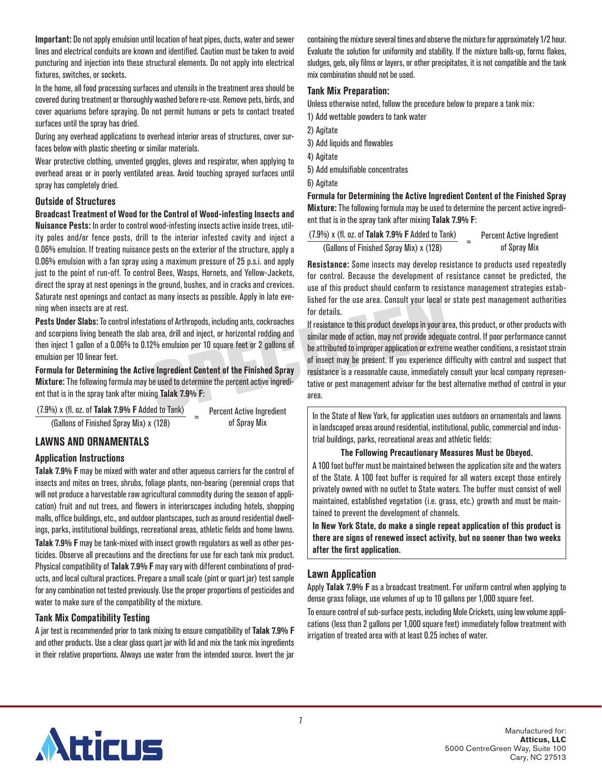**Important:** Do not apply emulsion until location of heat pipes, ducts, water and sewer lines and electrical conduits are known and identified. Caution must be taken to avoid puncturing and injection into these structural elements. Do not apply into electrical fixtures, switches, or sockets.

In the home, all food processing surfaces and utensils in the treatment area should be covered during treatment or thoroughly washed before re-use. Remove pets, birds, and cover aquariums before spraying. Do not permit humans or pets to contact treated surfaces until the spray has dried.

During any overhead applications to overhead interior areas of structures, cover surfaces below with plastic sheeting or similar materials.

Wear protective clothing, unvented goggles, gloves and respirator, when applying to overhead areas or in poorly ventilated areas. Avoid touching sprayed surfaces until spray has completely dried.

#### **Outside of Structures**

**Broadcast Treatment of Wood for the Control of Wood-infesting Insects and Nuisance Pests:** In order to control wood-infesting insects active inside trees, utility poles and/or fence posts, drill to the interior infested cavity and inject a 0.06% emulsion. If treating nuisance pests on the exterior of the structure, apply a 0.06% emulsion with a fan spray using a maximum pressure of 25 p.s.i. and apply just to the point of run-off. To control Bees, Wasps, Hornets, and Yellow-Jackets, direct the spray at nest openings in the ground, bushes, and in cracks and crevices. Saturate nest openings and contact as many insects as possible. Apply in late evening when insects are at rest.

**Pests Under Slabs:** To control infestations of Arthropods, including ants, cockroaches and scorpions living beneath the slab area, drill and inject, or horizontal rodding and then inject 1 gallon of a 0.06% to 0.12% emulsion per 10 square feet or 2 gallons of emulsion per 10 linear feet.

**Formula for Determining the Active Ingredient Content of the Finished Spray Mixture:** The following formula may be used to determine the percent active ingredient that is in the spray tank after mixing **Talak 7.9% F**:

| $(7.9\%)$ x (fl. oz. of Talak 7.9% F Added to Tank) | <b>Percent Active Ingredient</b> |
|-----------------------------------------------------|----------------------------------|
| (Gallons of Finished Spray Mix) x (128)             | of Spray Mix                     |

#### **LAWNS AND ORNAMENTALS**

#### **Application Instructions**

**Talak 7.9% F** may be mixed with water and other aqueous carriers for the control of insects and mites on trees, shrubs, foliage plants, non-bearing (perennial crops that will not produce a harvestable raw agricultural commodity during the season of application) fruit and nut trees, and flowers in interiorscapes including hotels, shopping malls, office buildings, etc., and outdoor plantscapes, such as around residential dwellings, parks, institutional buildings, recreational areas, athletic fields and home lawns. **Talak 7.9% F** may be tank-mixed with insect growth regulators as well as other pesticides. Observe all precautions and the directions for use for each tank mix product. Physical compatibility of **Talak 7.9% F** may vary with different combinations of products, and local cultural practices. Prepare a small scale (pint or quart jar) test sample for any combination not tested previously. Use the proper proportions of pesticides and water to make sure of the compatibility of the mixture.

#### **Tank Mix Compatibility Testing**

A jar test is recommended prior to tank mixing to ensure compatibility of **Talak 7.9% F** and other products. Use a clear glass quart jar with lid and mix the tank mix ingredients in their relative proportions. Always use water from the intended source. Invert the jar

containing the mixture several times and observe the mixture for approximately 1/2 hour. Evaluate the solution for uniformity and stability. If the mixture balls-up, forms flakes, sludges, gels, oily films or layers, or other precipitates, it is not compatible and the tank mix combination should not be used.

#### **Tank Mix Preparation:**

Unless otherwise noted, follow the procedure below to prepare a tank mix:

- 1) Add wettable powders to tank water
- 2) Agitate
- 3) Add liquids and flowables
- 4) Agitate
- 5) Add emulsifiable concentrates

6) Agitate

**Formula for Determining the Active Ingredient Content of the Finished Spray Mixture:** The following formula may be used to determine the percent active ingredient that is in the spray tank after mixing **Talak 7.9% F**:

| (7.9%) x (fl. oz. of Talak 7.9% F Added to Tank) | <b>Percent Active Ingredient</b> |
|--------------------------------------------------|----------------------------------|
| (Gallons of Finished Spray Mix) x (128)          | of Spray Mix                     |

**Resistance:** Some insects may develop resistance to products used repeatedly for control. Because the development of resistance cannot be predicted, the use of this product should conform to resistance management strategies established for the use area. Consult your local or state pest management authorities for details.

If resistance to this product develops in your area, this product, or other products with similar mode of action, may not provide adequate control. If poor performance cannot be attributed to improper application or extreme weather conditions, a resistant strain of insect may be present. If you experience difficulty with control and suspect that resistance is a reasonable cause, immediately consult your local company representative or pest management advisor for the best alternative method of control in your area.

In the State of New York, for application uses outdoors on ornamentals and lawns in landscaped areas around residential, institutional, public, commercial and industrial buildings, parks, recreational areas and athletic fields:

#### **The Following Precautionary Measures Must be Obeyed.**

A 100 foot buffer must be maintained between the application site and the waters of the State. A 100 foot buffer is required for all waters except those entirely privately owned with no outlet to State waters. The buffer must consist of well maintained, established vegetation (i.e. grass, etc.) growth and must be maintained to prevent the development of channels.

**In New York State, do make a single repeat application of this product is there are signs of renewed insect activity, but no sooner than two weeks after the first application.**

# **Lawn Application**

Apply **Talak 7.9% F** as a broadcast treatment. For uniform control when applying to dense grass foliage, use volumes of up to 10 gallons per 1,000 square feet.

To ensure control of sub-surface pests, including Mole Crickets, using low volume applications (less than 2 gallons per 1,000 square feet) immediately follow treatment with irrigation of treated area with at least 0.25 inches of water.

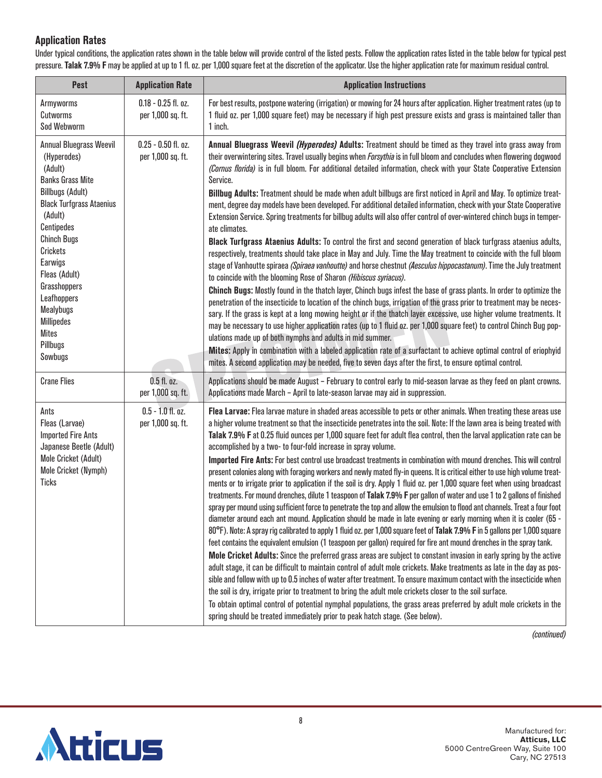# **Application Rates**

Under typical conditions, the application rates shown in the table below will provide control of the listed pests. Follow the application rates listed in the table below for typical pest pressure. Talak 7.9% F may be applied at up to 1 fl. oz. per 1,000 square feet at the discretion of the applicator. Use the higher application rate for maximum residual control.

| <b>Pest</b>                                                                                                                                                                                                                                                                                                                                      | <b>Application Rate</b>                    | <b>Application Instructions</b>                                                                                                                                                                                                                                                                                                                                                                                                                                                                                                                                                                                                                                                                                                                                                                                                                                                                                                                                                                                                                                                                                                                                                                                                                                                                                                                                                                                                                                                                                                                                                                                                                                                                                                                                                                                                                                                                                                                                                                                                                                                                                                                                         |
|--------------------------------------------------------------------------------------------------------------------------------------------------------------------------------------------------------------------------------------------------------------------------------------------------------------------------------------------------|--------------------------------------------|-------------------------------------------------------------------------------------------------------------------------------------------------------------------------------------------------------------------------------------------------------------------------------------------------------------------------------------------------------------------------------------------------------------------------------------------------------------------------------------------------------------------------------------------------------------------------------------------------------------------------------------------------------------------------------------------------------------------------------------------------------------------------------------------------------------------------------------------------------------------------------------------------------------------------------------------------------------------------------------------------------------------------------------------------------------------------------------------------------------------------------------------------------------------------------------------------------------------------------------------------------------------------------------------------------------------------------------------------------------------------------------------------------------------------------------------------------------------------------------------------------------------------------------------------------------------------------------------------------------------------------------------------------------------------------------------------------------------------------------------------------------------------------------------------------------------------------------------------------------------------------------------------------------------------------------------------------------------------------------------------------------------------------------------------------------------------------------------------------------------------------------------------------------------------|
| Armyworms<br>Cutworms<br><b>Sod Webworm</b>                                                                                                                                                                                                                                                                                                      | $0.18 - 0.25$ fl. oz.<br>per 1,000 sq. ft. | For best results, postpone watering (irrigation) or mowing for 24 hours after application. Higher treatment rates (up to<br>1 fluid oz. per 1,000 square feet) may be necessary if high pest pressure exists and grass is maintained taller than<br>1 inch.                                                                                                                                                                                                                                                                                                                                                                                                                                                                                                                                                                                                                                                                                                                                                                                                                                                                                                                                                                                                                                                                                                                                                                                                                                                                                                                                                                                                                                                                                                                                                                                                                                                                                                                                                                                                                                                                                                             |
| <b>Annual Bluegrass Weevil</b><br>(Hyperodes)<br>(Adult)<br><b>Banks Grass Mite</b><br><b>Billbugs (Adult)</b><br><b>Black Turfgrass Ataenius</b><br>(Adult)<br>Centipedes<br><b>Chinch Bugs</b><br>Crickets<br>Earwigs<br>Fleas (Adult)<br>Grasshoppers<br>Leafhoppers<br>Mealybugs<br><b>Millipedes</b><br><b>Mites</b><br>Pillbugs<br>Sowbugs | $0.25 - 0.50$ fl. oz.<br>per 1,000 sq. ft. | Annual Bluegrass Weevil (Hyperodes) Adults: Treatment should be timed as they travel into grass away from<br>their overwintering sites. Travel usually begins when Forsythia is in full bloom and concludes when flowering dogwood<br>(Cornus florida) is in full bloom. For additional detailed information, check with your State Cooperative Extension<br>Service.<br>Billbug Adults: Treatment should be made when adult billbugs are first noticed in April and May. To optimize treat-<br>ment, degree day models have been developed. For additional detailed information, check with your State Cooperative<br>Extension Service. Spring treatments for billbug adults will also offer control of over-wintered chinch bugs in temper-<br>ate climates.<br>Black Turfgrass Ataenius Adults: To control the first and second generation of black turfgrass ataenius adults,<br>respectively, treatments should take place in May and July. Time the May treatment to coincide with the full bloom<br>stage of Vanhoutte spiraea (Spiraea vanhoutte) and horse chestnut (Aesculus hippocastanum). Time the July treatment<br>to coincide with the blooming Rose of Sharon (Hibiscus syriacus).<br>Chinch Bugs: Mostly found in the thatch layer, Chinch bugs infest the base of grass plants. In order to optimize the<br>penetration of the insecticide to location of the chinch bugs, irrigation of the grass prior to treatment may be neces-<br>sary. If the grass is kept at a long mowing height or if the thatch layer excessive, use higher volume treatments. It<br>may be necessary to use higher application rates (up to 1 fluid oz. per 1,000 square feet) to control Chinch Bug pop-<br>ulations made up of both nymphs and adults in mid summer.<br>Mites: Apply in combination with a labeled application rate of a surfactant to achieve optimal control of eriophyid<br>mites. A second application may be needed, five to seven days after the first, to ensure optimal control.                                                                                                                                                              |
| <b>Crane Flies</b>                                                                                                                                                                                                                                                                                                                               | $0.5$ fl. oz.<br>per 1,000 sq. ft.         | Applications should be made August - February to control early to mid-season larvae as they feed on plant crowns.<br>Applications made March - April to late-season larvae may aid in suppression.                                                                                                                                                                                                                                                                                                                                                                                                                                                                                                                                                                                                                                                                                                                                                                                                                                                                                                                                                                                                                                                                                                                                                                                                                                                                                                                                                                                                                                                                                                                                                                                                                                                                                                                                                                                                                                                                                                                                                                      |
| Ants<br>Fleas (Larvae)<br><b>Imported Fire Ants</b><br>Japanese Beetle (Adult)<br>Mole Cricket (Adult)<br>Mole Cricket (Nymph)<br><b>Ticks</b>                                                                                                                                                                                                   | $0.5 - 1.0$ fl. oz.<br>per 1,000 sq. ft.   | Flea Larvae: Flea larvae mature in shaded areas accessible to pets or other animals. When treating these areas use<br>a higher volume treatment so that the insecticide penetrates into the soil. Note: If the lawn area is being treated with<br>Talak 7.9% F at 0.25 fluid ounces per 1,000 square feet for adult flea control, then the larval application rate can be<br>accomplished by a two- to four-fold increase in spray volume.<br>Imported Fire Ants: For best control use broadcast treatments in combination with mound drenches. This will control<br>present colonies along with foraging workers and newly mated fly-in queens. It is critical either to use high volume treat-<br>ments or to irrigate prior to application if the soil is dry. Apply 1 fluid oz. per 1,000 square feet when using broadcast<br>treatments. For mound drenches, dilute 1 teaspoon of Talak 7.9% F per gallon of water and use 1 to 2 gallons of finished<br>spray per mound using sufficient force to penetrate the top and allow the emulsion to flood ant channels. Treat a four foot<br>diameter around each ant mound. Application should be made in late evening or early morning when it is cooler (65 -<br>80°F). Note: A spray rig calibrated to apply 1 fluid oz. per 1,000 square feet of Talak 7.9% F in 5 gallons per 1,000 square<br>feet contains the equivalent emulsion (1 teaspoon per gallon) required for fire ant mound drenches in the spray tank.<br>Mole Cricket Adults: Since the preferred grass areas are subject to constant invasion in early spring by the active<br>adult stage, it can be difficult to maintain control of adult mole crickets. Make treatments as late in the day as pos-<br>sible and follow with up to 0.5 inches of water after treatment. To ensure maximum contact with the insecticide when<br>the soil is dry, irrigate prior to treatment to bring the adult mole crickets closer to the soil surface.<br>To obtain optimal control of potential nymphal populations, the grass areas preferred by adult mole crickets in the<br>spring should be treated immediately prior to peak hatch stage. (See below). |

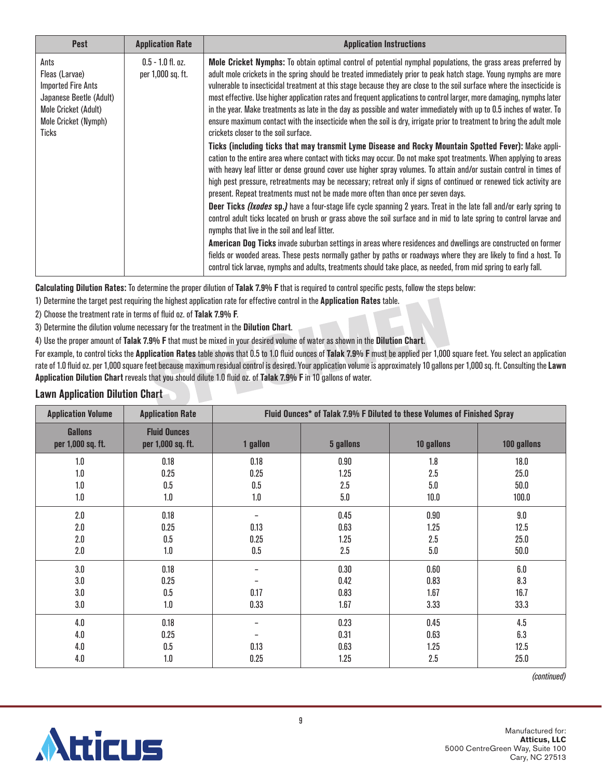| <b>Pest</b>                                                                                                                             | <b>Application Rate</b>                  | <b>Application Instructions</b>                                                                                                                                                                                                                                                                                                                                                                                                                                                                                                                                                                                                                                                                                                                                                                                                                                                                                                                                                                                                                                                                                                                                                                                                                                                                                                                                                                                                                                                                                                                                                                                                                                                                                                                                                                                                                                                                                                                                                                              |
|-----------------------------------------------------------------------------------------------------------------------------------------|------------------------------------------|--------------------------------------------------------------------------------------------------------------------------------------------------------------------------------------------------------------------------------------------------------------------------------------------------------------------------------------------------------------------------------------------------------------------------------------------------------------------------------------------------------------------------------------------------------------------------------------------------------------------------------------------------------------------------------------------------------------------------------------------------------------------------------------------------------------------------------------------------------------------------------------------------------------------------------------------------------------------------------------------------------------------------------------------------------------------------------------------------------------------------------------------------------------------------------------------------------------------------------------------------------------------------------------------------------------------------------------------------------------------------------------------------------------------------------------------------------------------------------------------------------------------------------------------------------------------------------------------------------------------------------------------------------------------------------------------------------------------------------------------------------------------------------------------------------------------------------------------------------------------------------------------------------------------------------------------------------------------------------------------------------------|
| Ants<br>Fleas (Larvae)<br><b>Imported Fire Ants</b><br>Japanese Beetle (Adult)<br>Mole Cricket (Adult)<br>Mole Cricket (Nymph)<br>Ticks | $0.5 - 1.0$ fl. oz.<br>per 1,000 sq. ft. | <b>Mole Cricket Nymphs:</b> To obtain optimal control of potential nymphal populations, the grass areas preferred by<br>adult mole crickets in the spring should be treated immediately prior to peak hatch stage. Young nymphs are more<br>vulnerable to insecticidal treatment at this stage because they are close to the soil surface where the insecticide is<br>most effective. Use higher application rates and frequent applications to control larger, more damaging, nymphs later<br>in the year. Make treatments as late in the day as possible and water immediately with up to 0.5 inches of water. To<br>ensure maximum contact with the insecticide when the soil is dry, irrigate prior to treatment to bring the adult mole<br>crickets closer to the soil surface.<br>Ticks (including ticks that may transmit Lyme Disease and Rocky Mountain Spotted Fever): Make appli-<br>cation to the entire area where contact with ticks may occur. Do not make spot treatments. When applying to areas<br>with heavy leaf litter or dense ground cover use higher spray volumes. To attain and/or sustain control in times of<br>high pest pressure, retreatments may be necessary; retreat only if signs of continued or renewed tick activity are<br>present. Repeat treatments must not be made more often than once per seven days.<br>Deer Ticks (Ixodes sp.) have a four-stage life cycle spanning 2 years. Treat in the late fall and/or early spring to<br>control adult ticks located on brush or grass above the soil surface and in mid to late spring to control larvae and<br>nymphs that live in the soil and leaf litter.<br>American Dog Ticks invade suburban settings in areas where residences and dwellings are constructed on former<br>fields or wooded areas. These pests normally gather by paths or roadways where they are likely to find a host. To<br>control tick larvae, nymphs and adults, treatments should take place, as needed, from mid spring to early fall. |

**Calculating Dilution Rates:** To determine the proper dilution of **Talak 7.9% F** that is required to control specific pests, follow the steps below:

1) Determine the target pest requiring the highest application rate for effective control in the **Application Rates** table.

2) Choose the treatment rate in terms of fluid oz. of **Talak 7.9% F**.

3) Determine the dilution volume necessary for the treatment in the **Dilution Chart**.

4) Use the proper amount of **Talak 7.9% F** that must be mixed in your desired volume of water as shown in the **Dilution Chart**.

For example, to control ticks the **Application Rates** table shows that 0.5 to 1.0 fluid ounces of **Talak 7.9% F** must be applied per 1,000 square feet. You select an application rate of 1.0 fluid oz. per 1,000 square feet because maximum residual control is desired. Your application volume is approximately 10 gallons per 1,000 sq. ft. Consulting the **Lawn Application Dilution Chart** reveals that you should dilute 1.0 fluid oz. of **Talak 7.9% F** in 10 gallons of water.

#### **Lawn Application Dilution Chart**

| <b>Application Volume</b>           | <b>Application Rate</b>                  |                                | Fluid Ounces* of Talak 7.9% F Diluted to these Volumes of Finished Spray |                                |                               |  |  |
|-------------------------------------|------------------------------------------|--------------------------------|--------------------------------------------------------------------------|--------------------------------|-------------------------------|--|--|
| <b>Gallons</b><br>per 1,000 sq. ft. | <b>Fluid Ounces</b><br>per 1,000 sq. ft. | 1 gallon                       | 5 gallons                                                                | 10 gallons                     | 100 gallons                   |  |  |
| 1.0<br>1.0<br>1.0<br>1.0            | 0.18<br>0.25<br>$0.5\,$<br>1.0           | 0.18<br>0.25<br>$0.5\,$<br>1.0 | 0.90<br>1.25<br>2.5<br>5.0                                               | 1.8<br>2.5<br>5.0<br>10.0      | 18.0<br>25.0<br>50.0<br>100.0 |  |  |
| 2.0<br>2.0<br>2.0<br>2.0            | 0.18<br>0.25<br>0.5<br>1.0               | 0.13<br>0.25<br>$0.5\,$        | 0.45<br>0.63<br>1.25<br>2.5                                              | 0.90<br>1.25<br>2.5<br>$5.0\,$ | 9.0<br>12.5<br>25.0<br>50.0   |  |  |
| 3.0<br>3.0<br>3.0<br>3.0            | 0.18<br>0.25<br>0.5<br>1.0               | 0.17<br>0.33                   | 0.30<br>0.42<br>0.83<br>1.67                                             | 0.60<br>0.83<br>1.67<br>3.33   | 6.0<br>8.3<br>16.7<br>33.3    |  |  |
| 4.0<br>4.0<br>4.0<br>4.0            | 0.18<br>0.25<br>0.5<br>1.0               | 0.13<br>0.25                   | 0.23<br>0.31<br>0.63<br>1.25                                             | 0.45<br>0.63<br>1.25<br>2.5    | 4.5<br>6.3<br>12.5<br>25.0    |  |  |

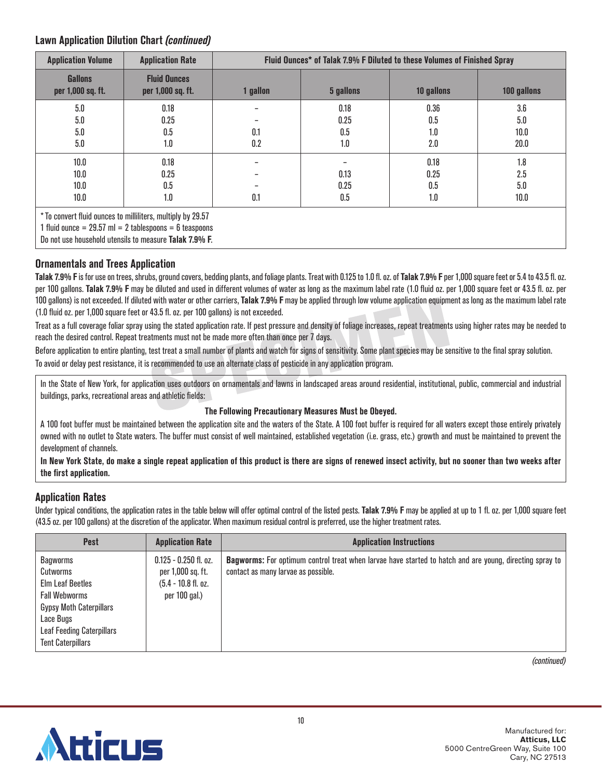# **Lawn Application Dilution Chart** *(continued)*

| <b>Application Volume</b>                                                                                                                                                         | <b>Application Rate</b>                  |          | Fluid Ounces* of Talak 7.9% F Diluted to these Volumes of Finished Spray |            |             |  |  |
|-----------------------------------------------------------------------------------------------------------------------------------------------------------------------------------|------------------------------------------|----------|--------------------------------------------------------------------------|------------|-------------|--|--|
| <b>Gallons</b><br>per 1,000 sq. ft.                                                                                                                                               | <b>Fluid Ounces</b><br>per 1,000 sq. ft. | 1 gallon | 5 gallons                                                                | 10 gallons | 100 gallons |  |  |
| 5.0                                                                                                                                                                               | 0.18                                     |          | 0.18                                                                     | 0.36       | 3.6         |  |  |
| 5.0                                                                                                                                                                               | 0.25                                     |          | 0.25                                                                     | 0.5        | 5.0         |  |  |
| 5.0                                                                                                                                                                               | 0.5                                      | 0.1      | 0.5                                                                      | 1.0        | 10.0        |  |  |
| 5.0                                                                                                                                                                               | 1.0                                      | 0.2      | 1.0                                                                      | 2.0        | 20.0        |  |  |
| 10.0                                                                                                                                                                              | 0.18                                     |          |                                                                          | 0.18       | 1.8         |  |  |
| 10.0                                                                                                                                                                              | 0.25                                     |          | 0.13                                                                     | 0.25       | 2.5         |  |  |
| 10.0                                                                                                                                                                              | 0.5                                      |          | 0.25                                                                     | 0.5        | 5.0         |  |  |
| 10.0                                                                                                                                                                              | 1.0                                      | 0.1      | 0.5                                                                      | 1.0        | 10.0        |  |  |
| * To convert fluid ounces to milliliters, multiply by 29.57<br>1 fluid ounce = $29.57$ ml = 2 tablespoons = 6 teaspoons<br>Do not use household utensils to measure Talak 7.9% F. |                                          |          |                                                                          |            |             |  |  |

# **Ornamentals and Trees Application**

**Talak 7.9% F** is for use on trees, shrubs, ground covers, bedding plants, and foliage plants. Treat with 0.125 to 1.0 fl. oz. of **Talak 7.9% F** per 1,000 square feet or 5.4 to 43.5 fl. oz. per 100 gallons. **Talak 7.9% F** may be diluted and used in different volumes of water as long as the maximum label rate (1.0 fluid oz. per 1,000 square feet or 43.5 fl. oz. per 100 gallons) is not exceeded. If diluted with water or other carriers, **Talak 7.9% F** may be applied through low volume application equipment as long as the maximum label rate (1.0 fluid oz. per 1,000 square feet or 43.5 fl. oz. per 100 gallons) is not exceeded.

Treat as a full coverage foliar spray using the stated application rate. If pest pressure and density of foliage increases, repeat treatments using higher rates may be needed to reach the desired control. Repeat treatments must not be made more often than once per 7 days.

Before application to entire planting, test treat a small number of plants and watch for signs of sensitivity. Some plant species may be sensitive to the final spray solution. To avoid or delay pest resistance, it is recommended to use an alternate class of pesticide in any application program.

In the State of New York, for application uses outdoors on ornamentals and lawns in landscaped areas around residential, institutional, public, commercial and industrial buildings, parks, recreational areas and athletic fields:

#### **The Following Precautionary Measures Must be Obeyed.**

A 100 foot buffer must be maintained between the application site and the waters of the State. A 100 foot buffer is required for all waters except those entirely privately owned with no outlet to State waters. The buffer must consist of well maintained, established vegetation (i.e. grass, etc.) growth and must be maintained to prevent the development of channels.

**In New York State, do make a single repeat application of this product is there are signs of renewed insect activity, but no sooner than two weeks after the first application.**

# **Application Rates**

Under typical conditions, the application rates in the table below will offer optimal control of the listed pests. **Talak 7.9% F** may be applied at up to 1 fl. oz. per 1,000 square feet (43.5 oz. per 100 gallons) at the discretion of the applicator. When maximum residual control is preferred, use the higher treatment rates.

| <b>Pest</b>                                                                                                                                                                            | <b>Application Rate</b>                                                                | <b>Application Instructions</b>                                                                                                                       |
|----------------------------------------------------------------------------------------------------------------------------------------------------------------------------------------|----------------------------------------------------------------------------------------|-------------------------------------------------------------------------------------------------------------------------------------------------------|
| <b>Bagworms</b><br>Cutworms<br>Elm Leaf Beetles<br><b>Fall Webworms</b><br><b>Gypsy Moth Caterpillars</b><br>Lace Bugs<br><b>Leaf Feeding Caterpillars</b><br><b>Tent Caterpillars</b> | $0.125 - 0.250$ fl. oz.<br>per 1,000 sq. ft.<br>$(5.4 - 10.8$ fl. oz.<br>per 100 gal.) | <b>Bagworms:</b> For optimum control treat when larvae have started to hatch and are young, directing spray to<br>contact as many larvae as possible. |

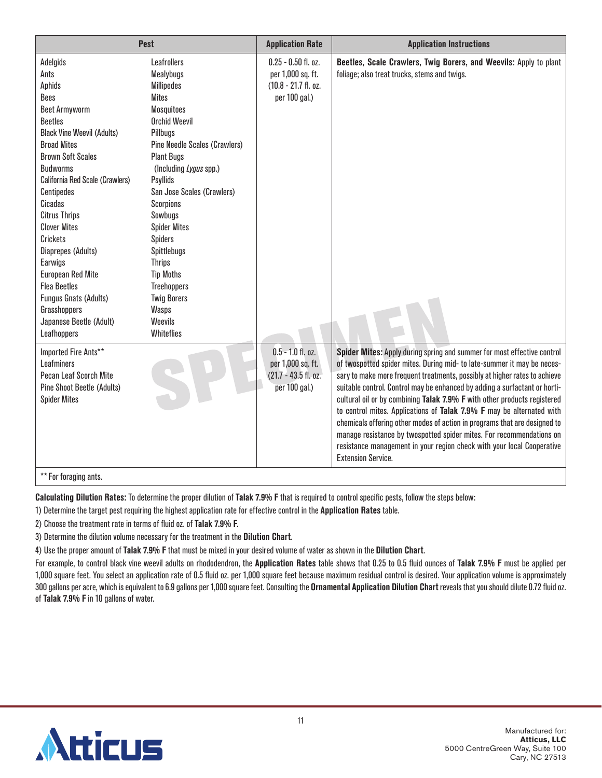|                                                                                                                                                                                                                                                                                                                                                                                                                                                                                                                 | <b>Pest</b>                                                                                                                                                                                                                                                                                                                                                                                                                                                | <b>Application Rate</b>                                                               | <b>Application Instructions</b>                                                                                                                                                                                                                                                                                                                                                                                                                                                                                                                                                                                                                                                                                                 |
|-----------------------------------------------------------------------------------------------------------------------------------------------------------------------------------------------------------------------------------------------------------------------------------------------------------------------------------------------------------------------------------------------------------------------------------------------------------------------------------------------------------------|------------------------------------------------------------------------------------------------------------------------------------------------------------------------------------------------------------------------------------------------------------------------------------------------------------------------------------------------------------------------------------------------------------------------------------------------------------|---------------------------------------------------------------------------------------|---------------------------------------------------------------------------------------------------------------------------------------------------------------------------------------------------------------------------------------------------------------------------------------------------------------------------------------------------------------------------------------------------------------------------------------------------------------------------------------------------------------------------------------------------------------------------------------------------------------------------------------------------------------------------------------------------------------------------------|
| Adelgids<br>Ants<br><b>Aphids</b><br><b>Bees</b><br><b>Beet Armyworm</b><br><b>Beetles</b><br><b>Black Vine Weevil (Adults)</b><br><b>Broad Mites</b><br><b>Brown Soft Scales</b><br><b>Budworms</b><br><b>California Red Scale (Crawlers)</b><br><b>Centipedes</b><br>Cicadas<br><b>Citrus Thrips</b><br><b>Clover Mites</b><br><b>Crickets</b><br>Diaprepes (Adults)<br>Earwigs<br><b>European Red Mite</b><br><b>Flea Beetles</b><br><b>Fungus Gnats (Adults)</b><br>Grasshoppers<br>Japanese Beetle (Adult) | <b>Leafrollers</b><br><b>Mealybugs</b><br><b>Millipedes</b><br><b>Mites</b><br><b>Mosquitoes</b><br><b>Orchid Weevil</b><br>Pillbugs<br><b>Pine Needle Scales (Crawlers)</b><br><b>Plant Bugs</b><br>(Including Lygus spp.)<br>Psyllids<br>San Jose Scales (Crawlers)<br>Scorpions<br>Sowbugs<br><b>Spider Mites</b><br><b>Spiders</b><br>Spittlebugs<br><b>Thrips</b><br><b>Tip Moths</b><br><b>Treehoppers</b><br><b>Twig Borers</b><br>Wasps<br>Weevils | $0.25 - 0.50$ fl. oz.<br>per 1,000 sq. ft.<br>$(10.8 - 21.7$ fl. oz.<br>per 100 gal.) | Beetles, Scale Crawlers, Twig Borers, and Weevils: Apply to plant<br>foliage; also treat trucks, stems and twigs.                                                                                                                                                                                                                                                                                                                                                                                                                                                                                                                                                                                                               |
| Leafhoppers<br>Imported Fire Ants**<br><b>Leafminers</b><br><b>Pecan Leaf Scorch Mite</b><br>Pine Shoot Beetle (Adults)<br><b>Spider Mites</b>                                                                                                                                                                                                                                                                                                                                                                  | Whiteflies                                                                                                                                                                                                                                                                                                                                                                                                                                                 | $0.5 - 1.0$ fl. oz.<br>per 1,000 sq. ft.<br>(21.7 - 43.5 fl. oz.<br>per 100 gal.)     | Spider Mites: Apply during spring and summer for most effective control<br>of twospotted spider mites. During mid- to late-summer it may be neces-<br>sary to make more frequent treatments, possibly at higher rates to achieve<br>suitable control. Control may be enhanced by adding a surfactant or horti-<br>cultural oil or by combining Talak 7.9% F with other products registered<br>to control mites. Applications of Talak 7.9% F may be alternated with<br>chemicals offering other modes of action in programs that are designed to<br>manage resistance by twospotted spider mites. For recommendations on<br>resistance management in your region check with your local Cooperative<br><b>Extension Service.</b> |

\*\*For foraging ants.

**Calculating Dilution Rates:** To determine the proper dilution of **Talak 7.9% F** that is required to control specific pests, follow the steps below:

1) Determine the target pest requiring the highest application rate for effective control in the **Application Rates** table.

2) Choose the treatment rate in terms of fluid oz. of **Talak 7.9% F**.

3) Determine the dilution volume necessary for the treatment in the **Dilution Chart**.

4) Use the proper amount of **Talak 7.9% F** that must be mixed in your desired volume of water as shown in the **Dilution Chart**.

For example, to control black vine weevil adults on rhododendron, the **Application Rates** table shows that 0.25 to 0.5 fluid ounces of **Talak 7.9% F** must be applied per 1,000 square feet. You select an application rate of 0.5 fluid oz. per 1,000 square feet because maximum residual control is desired. Your application volume is approximately 300 gallons per acre, which is equivalent to 6.9 gallons per 1,000 square feet. Consulting the **Ornamental Application Dilution Chart** reveals that you should dilute 0.72 fluid oz. of **Talak 7.9% F** in 10 gallons of water.

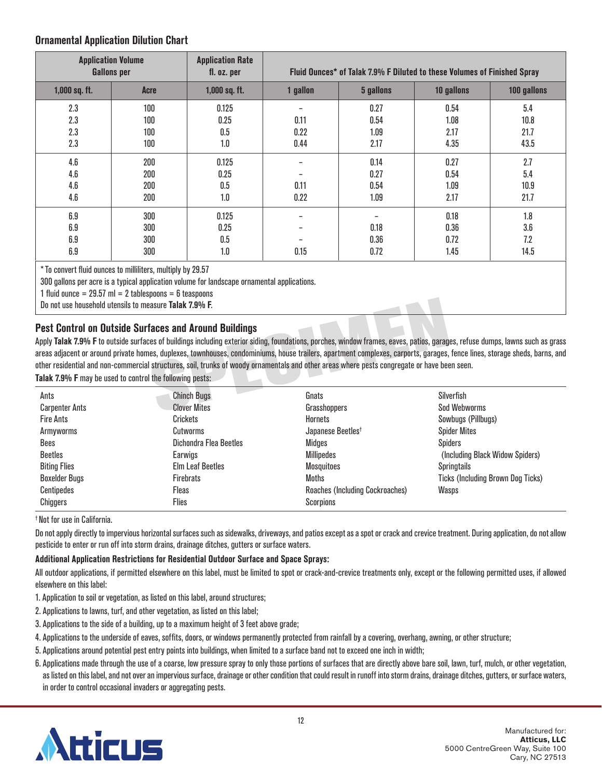# **Ornamental Application Dilution Chart**

|                          | <b>Application Volume</b><br><b>Gallons per</b> | <b>Application Rate</b><br>fl. oz. per | Fluid Ounces* of Talak 7.9% F Diluted to these Volumes of Finished Spray |                              |                              |                             |
|--------------------------|-------------------------------------------------|----------------------------------------|--------------------------------------------------------------------------|------------------------------|------------------------------|-----------------------------|
| 1,000 sq. ft.            | Acre                                            | 1,000 sq. ft.                          | 1 gallon                                                                 | 5 gallons                    | 10 gallons                   | 100 gallons                 |
| 2.3<br>2.3<br>2.3<br>2.3 | 100<br>100<br>100<br>100                        | 0.125<br>0.25<br>0.5<br>1.0            | -<br>0.11<br>0.22<br>0.44                                                | 0.27<br>0.54<br>1.09<br>2.17 | 0.54<br>1.08<br>2.17<br>4.35 | 5.4<br>10.8<br>21.7<br>43.5 |
| 4.6<br>4.6<br>4.6<br>4.6 | 200<br>200<br>200<br>200                        | 0.125<br>0.25<br>0.5<br>$1.0\,$        | -<br>0.11<br>0.22                                                        | 0.14<br>0.27<br>0.54<br>1.09 | 0.27<br>0.54<br>1.09<br>2.17 | 2.7<br>5.4<br>10.9<br>21.7  |
| 6.9<br>6.9<br>6.9<br>6.9 | 300<br>300<br>300<br>300                        | 0.125<br>0.25<br>0.5<br>1.0            | -<br>$\qquad \qquad$<br>0.15                                             | 0.18<br>0.36<br>0.72         | 0.18<br>0.36<br>0.72<br>1.45 | 1.8<br>3.6<br>7.2<br>14.5   |

\*To convert fluid ounces to milliliters, multiply by 29.57

300 gallons per acre is a typical application volume for landscape ornamental applications.

1 fluid ounce  $= 29.57$  ml  $= 2$  tablespoons  $= 6$  teaspoons

Do not use household utensils to measure **Talak 7.9% F**.

# **Pest Control on Outside Surfaces and Around Buildings**

Apply Talak 7.9% F to outside surfaces of buildings including exterior siding, foundations, porches, window frames, eaves, patios, garages, refuse dumps, lawns such as grass areas adjacent or around private homes, duplexes, townhouses, condominiums, house trailers, apartment complexes, carports, garages, fence lines, storage sheds, barns, and other residential and non-commercial structures, soil, trunks of woody ornamentals and other areas where pests congregate or have been seen. **Talak 7.9% F** may be used to control the following pests:

| Ants                  | <b>Chinch Bugs</b>      | Gnats                           | Silverfish                               |
|-----------------------|-------------------------|---------------------------------|------------------------------------------|
| <b>Carpenter Ants</b> | <b>Clover Mites</b>     | Grasshoppers                    | <b>Sod Webworms</b>                      |
| <b>Fire Ants</b>      | Crickets                | Hornets                         | Sowbugs (Pillbugs)                       |
| Armyworms             | Cutworms                | Japanese Beetles <sup>t</sup>   | <b>Spider Mites</b>                      |
| Bees                  | Dichondra Flea Beetles  | Midges                          | <b>Spiders</b>                           |
| <b>Beetles</b>        | Earwigs                 | <b>Millipedes</b>               | (Including Black Widow Spiders)          |
| <b>Biting Flies</b>   | <b>Elm Leaf Beetles</b> | <b>Mosquitoes</b>               | <b>Springtails</b>                       |
| <b>Boxelder Bugs</b>  | <b>Firebrats</b>        | Moths                           | <b>Ticks (Including Brown Dog Ticks)</b> |
| Centipedes            | <b>Fleas</b>            | Roaches (Including Cockroaches) | Wasps                                    |
| Chiggers              | Flies                   | Scorpions                       |                                          |

† Not for use in California.

Do not apply directly to impervious horizontal surfaces such as sidewalks, driveways, and patios except as a spot or crack and crevice treatment. During application, do not allow pesticide to enter or run off into storm drains, drainage ditches, gutters or surface waters.

#### **Additional Application Restrictions for Residential Outdoor Surface and Space Sprays:**

All outdoor applications, if permitted elsewhere on this label, must be limited to spot or crack-and-crevice treatments only, except or the following permitted uses, if allowed elsewhere on this label:

- 1. Application to soil or vegetation, as listed on this label, around structures;
- 2. Applications to lawns, turf, and other vegetation, as listed on this label;
- 3. Applications to the side of a building, up to a maximum height of 3 feet above grade;

4. Applications to the underside of eaves, soffits, doors, or windows permanently protected from rainfall by a covering, overhang, awning, or other structure;

5. Applications around potential pest entry points into buildings, when limited to a surface band not to exceed one inch in width;

6. Applications made through the use of a coarse, low pressure spray to only those portions of surfaces that are directly above bare soil, lawn, turf, mulch, or other vegetation, as listed on this label, and not over an impervious surface, drainage or other condition that could result in runoff into storm drains, drainage ditches, gutters, or surface waters, in order to control occasional invaders or aggregating pests.

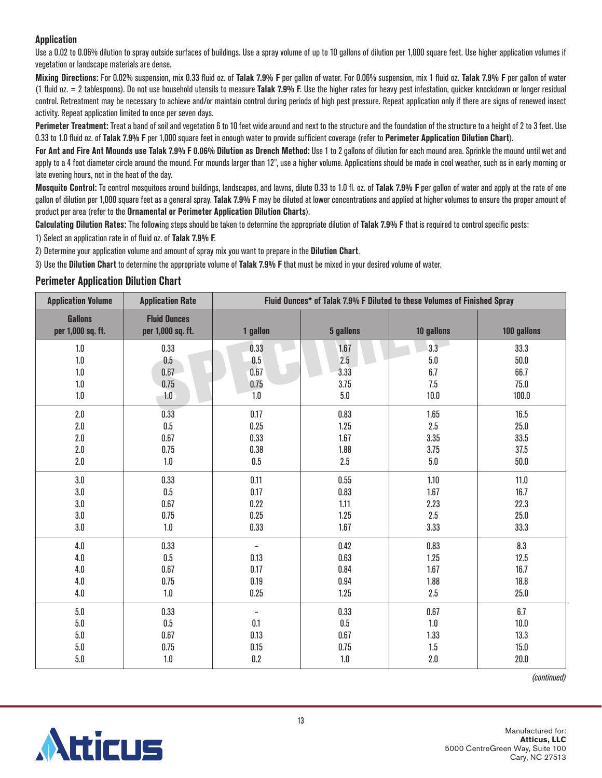# **Application**

Use a 0.02 to 0.06% dilution to spray outside surfaces of buildings. Use a spray volume of up to 10 gallons of dilution per 1,000 square feet. Use higher application volumes if vegetation or landscape materials are dense.

**Mixing Directions:** For 0.02% suspension, mix 0.33 fluid oz. of **Talak 7.9% F** per gallon of water. For 0.06% suspension, mix 1 fluid oz. **Talak 7.9% F** per gallon of water (1 fluid oz. = 2 tablespoons). Do not use household utensils to measure **Talak 7.9% F**. Use the higher rates for heavy pest infestation, quicker knockdown or longer residual control. Retreatment may be necessary to achieve and/or maintain control during periods of high pest pressure. Repeat application only if there are signs of renewed insect activity. Repeat application limited to once per seven days.

**Perimeter Treatment:** Treat a band of soil and vegetation 6 to 10 feet wide around and next to the structure and the foundation of the structure to a height of 2 to 3 feet. Use 0.33 to 1.0 fluid oz. of **Talak 7.9% F** per 1,000 square feet in enough water to provide sufficient coverage (refer to **Perimeter Application Dilution Chart**).

**For Ant and Fire Ant Mounds use Talak 7.9% F 0.06% Dilution as Drench Method:** Use 1 to 2 gallons of dilution for each mound area. Sprinkle the mound until wet and apply to a 4 foot diameter circle around the mound. For mounds larger than 12", use a higher volume. Applications should be made in cool weather, such as in early morning or late evening hours, not in the heat of the day.

**Mosquito Control:** To control mosquitoes around buildings, landscapes, and lawns, dilute 0.33 to 1.0 fl. oz. of **Talak 7.9% F** per gallon of water and apply at the rate of one gallon of dilution per 1,000 square feet as a general spray. **Talak 7.9% F** may be diluted at lower concentrations and applied at higher volumes to ensure the proper amount of product per area (refer to the **Ornamental or Perimeter Application Dilution Charts**).

**Calculating Dilution Rates:** The following steps should be taken to determine the appropriate dilution of **Talak 7.9% F** that is required to control specific pests:

1) Select an application rate in of fluid oz. of **Talak 7.9% F**.

2) Determine your application volume and amount of spray mix you want to prepare in the **Dilution Chart**.

3) Use the **Dilution Chart** to determine the appropriate volume of **Talak 7.9% F** that must be mixed in your desired volume of water.

# **Perimeter Application Dilution Chart**

| <b>Application Volume</b>           | <b>Application Rate</b>                  |                          | Fluid Ounces* of Talak 7.9% F Diluted to these Volumes of Finished Spray |            |             |
|-------------------------------------|------------------------------------------|--------------------------|--------------------------------------------------------------------------|------------|-------------|
| <b>Gallons</b><br>per 1,000 sq. ft. | <b>Fluid Ounces</b><br>per 1,000 sq. ft. | 1 gallon                 | 5 gallons                                                                | 10 gallons | 100 gallons |
| 1.0                                 | 0.33                                     | 0.33                     | 1.67                                                                     | 3.3        | 33.3        |
| 1.0                                 | $0.5\,$                                  | 0.5                      | 2.5                                                                      | $5.0\,$    | 50.0        |
| 1.0                                 | 0.67                                     | 0.67                     | 3.33                                                                     | 6.7        | 66.7        |
| 1.0                                 | 0.75                                     | 0.75                     | 3.75                                                                     | 7.5        | 75.0        |
| $1.0\,$                             | 1.0                                      | $1.0\,$                  | $5.0\,$                                                                  | 10.0       | 100.0       |
| $2.0\,$                             | 0.33                                     | 0.17                     | 0.83                                                                     | 1.65       | 16.5        |
| 2.0                                 | 0.5                                      | 0.25                     | 1.25                                                                     | $2.5\,$    | 25.0        |
| $2.0\,$                             | 0.67                                     | 0.33                     | 1.67                                                                     | 3.35       | 33.5        |
| $2.0\,$                             | 0.75                                     | 0.38                     | 1.88                                                                     | 3.75       | 37.5        |
| 2.0                                 | $1.0$                                    | $0.5\,$                  | $2.5\,$                                                                  | $5.0\,$    | 50.0        |
| $3.0\,$                             | 0.33                                     | 0.11                     | 0.55                                                                     | 1.10       | 11.0        |
| $3.0\,$                             | $0.5\,$                                  | 0.17                     | 0.83                                                                     | 1.67       | 16.7        |
| 3.0                                 | 0.67                                     | 0.22                     | 1.11                                                                     | 2.23       | 22.3        |
| $3.0\,$                             | 0.75                                     | 0.25                     | 1.25                                                                     | 2.5        | 25.0        |
| $3.0\,$                             | $1.0\,$                                  | 0.33                     | 1.67                                                                     | 3.33       | 33.3        |
| 4.0                                 | 0.33                                     | $\blacksquare$           | 0.42                                                                     | 0.83       | 8.3         |
| $4.0\,$                             | $0.5\,$                                  | 0.13                     | 0.63                                                                     | 1.25       | 12.5        |
| 4.0                                 | 0.67                                     | 0.17                     | 0.84                                                                     | 1.67       | 16.7        |
| 4.0                                 | 0.75                                     | 0.19                     | 0.94                                                                     | 1.88       | 18.8        |
| 4.0                                 | $1.0$                                    | 0.25                     | 1.25                                                                     | 2.5        | 25.0        |
| $5.0\,$                             | 0.33                                     | $\overline{\phantom{0}}$ | 0.33                                                                     | 0.67       | 6.7         |
| $5.0\,$                             | 0.5                                      | 0.1                      | $0.5\,$                                                                  | $1.0\,$    | 10.0        |
| 5.0                                 | 0.67                                     | 0.13                     | 0.67                                                                     | 1.33       | 13.3        |
| $5.0\,$                             | 0.75                                     | 0.15                     | 0.75                                                                     | 1.5        | 15.0        |
| $5.0\,$                             | $1.0\,$                                  | $0.2\,$                  | $1.0\,$                                                                  | $2.0\,$    | 20.0        |

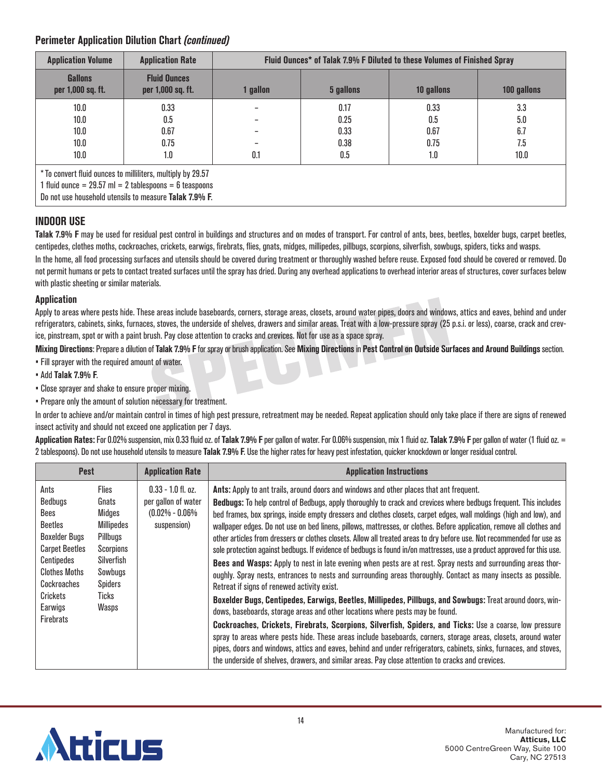# **Perimeter Application Dilution Chart** *(continued)*

| <b>Application Volume</b>                                                                                                   | <b>Application Rate</b>                  |          |           | Fluid Ounces* of Talak 7.9% F Diluted to these Volumes of Finished Spray |             |
|-----------------------------------------------------------------------------------------------------------------------------|------------------------------------------|----------|-----------|--------------------------------------------------------------------------|-------------|
| <b>Gallons</b><br>per 1,000 sq. ft.                                                                                         | <b>Fluid Ounces</b><br>per 1,000 sq. ft. | l qallon | 5 gallons | 10 gallons                                                               | 100 gallons |
| 10.0                                                                                                                        | 0.33                                     |          | 0.17      | 0.33                                                                     | 3.3         |
| 10.0                                                                                                                        | 0.5                                      |          | 0.25      | 0.5                                                                      | 5.0         |
| 10.0                                                                                                                        | 0.67                                     |          | 0.33      | 0.67                                                                     | 6.7         |
| 10.0                                                                                                                        | 0.75                                     |          | 0.38      | 0.75                                                                     | 7.5         |
| 10.0                                                                                                                        | 1.0                                      | 0.1      | 0.5       | 1.0                                                                      | 10.0        |
| * To convert fluid ounces to milliliters, multiply by 29.57<br>1 fluid ounce $= 29.57$ ml $= 2$ tablespoons $= 6$ teaspoons |                                          |          |           |                                                                          |             |

Do not use household utensils to measure **Talak 7.9% F**.

# **INDOOR USE**

**Talak 7.9% F** may be used for residual pest control in buildings and structures and on modes of transport. For control of ants, bees, beetles, boxelder bugs, carpet beetles, centipedes, clothes moths, cockroaches, crickets, earwigs, firebrats, flies, gnats, midges, millipedes, pillbugs, scorpions, silverfish, sowbugs, spiders, ticks and wasps. In the home, all food processing surfaces and utensils should be covered during treatment or thoroughly washed before reuse. Exposed food should be covered or removed. Do not permit humans or pets to contact treated surfaces until the spray has dried. During any overhead applications to overhead interior areas of structures, cover surfaces below with plastic sheeting or similar materials.

#### **Application**

Apply to areas where pests hide. These areas include baseboards, corners, storage areas, closets, around water pipes, doors and windows, attics and eaves, behind and under refrigerators, cabinets, sinks, furnaces, stoves, the underside of shelves, drawers and similar areas. Treat with a low-pressure spray (25 p.s.i. or less), coarse, crack and crevice, pinstream, spot or with a paint brush. Pay close attention to cracks and crevices. Not for use as a space spray.

**Mixing Directions**: Prepare a dilution of **Talak 7.9% F** for spray or brush application. See **Mixing Directions** in **Pest Control on Outside Surfaces and Around Buildings** section. • Fill sprayer with the required amount of water.

- Add **Talak 7.9% F**.
- Close sprayer and shake to ensure proper mixing.
- Prepare only the amount of solution necessary for treatment.

In order to achieve and/or maintain control in times of high pest pressure, retreatment may be needed. Repeat application should only take place if there are signs of renewed insect activity and should not exceed one application per 7 days.

**Application Rates:** For 0.02% suspension, mix 0.33 fluid oz. of **Talak 7.9% F** per gallon of water. For 0.06% suspension, mix 1 fluid oz. **Talak 7.9% F** per gallon of water (1 fluid oz. = 2 tablespoons). Do not use household utensils to measure **Talak 7.9% F**. Use the higher rates for heavy pest infestation, quicker knockdown or longer residual control.

| <b>Pest</b>                                                                                                                                                                                |                                                                                                                                            | <b>Application Rate</b>                                                          | <b>Application Instructions</b>                                                                                                                                                                                                                                                                                                                                                                                                                                                                                                                                                                                                                                                                                                                                                                                                                                                                                                                                                                                                                                                                                                                                                                                                                                                                                                                                                                                                                                                                                                                                                                                                                                  |
|--------------------------------------------------------------------------------------------------------------------------------------------------------------------------------------------|--------------------------------------------------------------------------------------------------------------------------------------------|----------------------------------------------------------------------------------|------------------------------------------------------------------------------------------------------------------------------------------------------------------------------------------------------------------------------------------------------------------------------------------------------------------------------------------------------------------------------------------------------------------------------------------------------------------------------------------------------------------------------------------------------------------------------------------------------------------------------------------------------------------------------------------------------------------------------------------------------------------------------------------------------------------------------------------------------------------------------------------------------------------------------------------------------------------------------------------------------------------------------------------------------------------------------------------------------------------------------------------------------------------------------------------------------------------------------------------------------------------------------------------------------------------------------------------------------------------------------------------------------------------------------------------------------------------------------------------------------------------------------------------------------------------------------------------------------------------------------------------------------------------|
| Ants<br>Bedbugs<br>Bees<br><b>Beetles</b><br><b>Boxelder Buas</b><br><b>Carpet Beetles</b><br>Centipedes<br><b>Clothes Moths</b><br>Cockroaches<br>Crickets<br>Earwigs<br><b>Firebrats</b> | <b>Flies</b><br>Gnats<br><b>Midges</b><br><b>Millipedes</b><br>Pillbugs<br>Scorpions<br>Silverfish<br>Sowbugs<br>Spiders<br>Ticks<br>Wasps | $0.33 - 1.0$ fl. oz.<br>per gallon of water<br>$(0.02\% - 0.06\%$<br>suspension) | <b>Ants:</b> Apply to ant trails, around doors and windows and other places that ant frequent.<br>Bedbugs: To help control of Bedbugs, apply thoroughly to crack and crevices where bedbugs frequent. This includes<br>bed frames, box springs, inside empty dressers and clothes closets, carpet edges, wall moldings (high and low), and<br>wallpaper edges. Do not use on bed linens, pillows, mattresses, or clothes. Before application, remove all clothes and<br>other articles from dressers or clothes closets. Allow all treated areas to dry before use. Not recommended for use as<br>sole protection against bedbugs. If evidence of bedbugs is found in/on mattresses, use a product approved for this use.<br>Bees and Wasps: Apply to nest in late evening when pests are at rest. Spray nests and surrounding areas thor-<br>oughly. Spray nests, entrances to nests and surrounding areas thoroughly. Contact as many insects as possible.<br>Retreat if signs of renewed activity exist.<br>Boxelder Bugs, Centipedes, Earwigs, Beetles, Millipedes, Pillbugs, and Sowbugs: Treat around doors, win-<br>dows, baseboards, storage areas and other locations where pests may be found.<br>Cockroaches, Crickets, Firebrats, Scorpions, Silverfish, Spiders, and Ticks: Use a coarse, low pressure<br>spray to areas where pests hide. These areas include baseboards, corners, storage areas, closets, around water<br>pipes, doors and windows, attics and eaves, behind and under refrigerators, cabinets, sinks, furnaces, and stoves,<br>the underside of shelves, drawers, and similar areas. Pay close attention to cracks and crevices. |

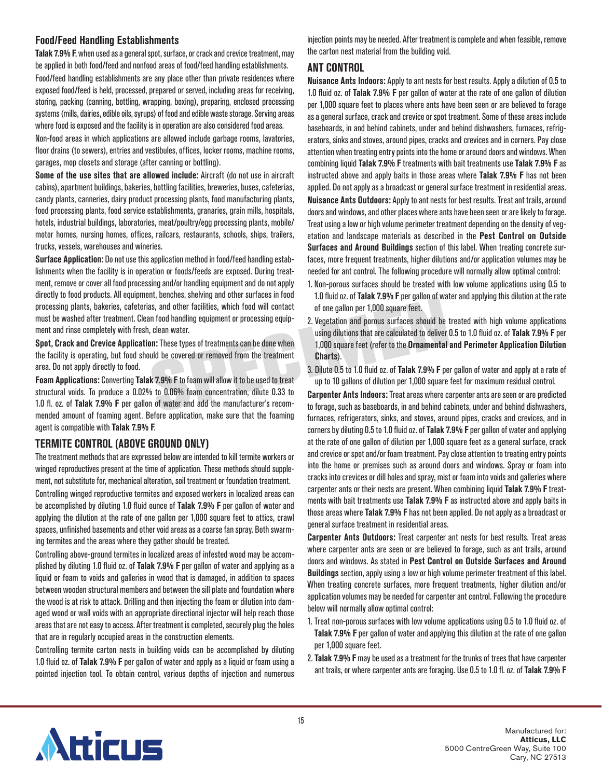# **Food/Feed Handling Establishments**

**Talak 7.9% F**, when used as a general spot, surface, or crack and crevice treatment, may be applied in both food/feed and nonfood areas of food/feed handling establishments.

Food/feed handling establishments are any place other than private residences where exposed food/feed is held, processed, prepared or served, including areas for receiving, storing, packing (canning, bottling, wrapping, boxing), preparing, enclosed processing systems (mills, dairies, edible oils, syrups) of food and edible waste storage. Serving areas where food is exposed and the facility is in operation are also considered food areas.

Non-food areas in which applications are allowed include garbage rooms, lavatories, floor drains (to sewers), entries and vestibules, offices, locker rooms, machine rooms, garages, mop closets and storage (after canning or bottling).

**Some of the use sites that are allowed include:** Aircraft (do not use in aircraft cabins), apartment buildings, bakeries, bottling facilities, breweries, buses, cafeterias, candy plants, canneries, dairy product processing plants, food manufacturing plants, food processing plants, food service establishments, granaries, grain mills, hospitals, hotels, industrial buildings, laboratories, meat/poultry/egg processing plants, mobile/ motor homes, nursing homes, offices, railcars, restaurants, schools, ships, trailers, trucks, vessels, warehouses and wineries.

**Surface Application:** Do not use this application method in food/feed handling establishments when the facility is in operation or foods/feeds are exposed. During treatment, remove or cover all food processing and/or handling equipment and do not apply directly to food products. All equipment, benches, shelving and other surfaces in food processing plants, bakeries, cafeterias, and other facilities, which food will contact must be washed after treatment. Clean food handling equipment or processing equipment and rinse completely with fresh, clean water.

**Spot, Crack and Crevice Application:** These types of treatments can be done when the facility is operating, but food should be covered or removed from the treatment area. Do not apply directly to food.

**Foam Applications:** Converting **Talak 7.9% F** to foam will allow it to be used to treat structural voids. To produce a 0.02% to 0.06% foam concentration, dilute 0.33 to 1.0 fl. oz. of **Talak 7.9% F** per gallon of water and add the manufacturer's recommended amount of foaming agent. Before application, make sure that the foaming agent is compatible with **Talak 7.9% F**.

# **TERMITE CONTROL (ABOVE GROUND ONLY)**

The treatment methods that are expressed below are intended to kill termite workers or winged reproductives present at the time of application. These methods should supplement, not substitute for, mechanical alteration, soil treatment or foundation treatment. Controlling winged reproductive termites and exposed workers in localized areas can be accomplished by diluting 1.0 fluid ounce of **Talak 7.9% F** per gallon of water and applying the dilution at the rate of one gallon per 1,000 square feet to attics, crawl spaces, unfinished basements and other void areas as a coarse fan spray. Both swarming termites and the areas where they gather should be treated.

Controlling above-ground termites in localized areas of infested wood may be accomplished by diluting 1.0 fluid oz. of **Talak 7.9% F** per gallon of water and applying as a liquid or foam to voids and galleries in wood that is damaged, in addition to spaces between wooden structural members and between the sill plate and foundation where the wood is at risk to attack. Drilling and then injecting the foam or dilution into damaged wood or wall voids with an appropriate directional injector will help reach those areas that are not easy to access. After treatment is completed, securely plug the holes that are in regularly occupied areas in the construction elements.

Controlling termite carton nests in building voids can be accomplished by diluting 1.0 fluid oz. of **Talak 7.9% F** per gallon of water and apply as a liquid or foam using a pointed injection tool. To obtain control, various depths of injection and numerous injection points may be needed. After treatment is complete and when feasible, remove the carton nest material from the building void.

# **ANT CONTROL**

**Nuisance Ants Indoors:** Apply to ant nests for best results. Apply a dilution of 0.5 to 1.0 fluid oz. of **Talak 7.9% F** per gallon of water at the rate of one gallon of dilution per 1,000 square feet to places where ants have been seen or are believed to forage as a general surface, crack and crevice or spot treatment. Some of these areas include baseboards, in and behind cabinets, under and behind dishwashers, furnaces, refrigerators, sinks and stoves, around pipes, cracks and crevices and in corners. Pay close attention when treating entry points into the home or around doors and windows. When combining liquid **Talak 7.9% F** treatments with bait treatments use **Talak 7.9% F** as instructed above and apply baits in those areas where **Talak 7.9% F** has not been applied. Do not apply as a broadcast or general surface treatment in residential areas. **Nuisance Ants Outdoors:** Apply to ant nests for best results. Treat ant trails, around doors and windows, and other places where ants have been seen or are likely to forage. Treat using a low or high volume perimeter treatment depending on the density of vegetation and landscape materials as described in the **Pest Control on Outside Surfaces and Around Buildings** section of this label. When treating concrete surfaces, more frequent treatments, higher dilutions and/or application volumes may be needed for ant control. The following procedure will normally allow optimal control:

- 1. Non-porous surfaces should be treated with low volume applications using 0.5 to 1.0 fluid oz. of **Talak 7.9% F** per gallon of water and applying this dilution at the rate of one gallon per 1,000 square feet.
- 2. Vegetation and porous surfaces should be treated with high volume applications using dilutions that are calculated to deliver 0.5 to 1.0 fluid oz. of **Talak 7.9% F** per 1,000 square feet (refer to the **Ornamental and Perimeter Application Dilution Charts**).
- 3. Dilute 0.5 to 1.0 fluid oz. of **Talak 7.9% F** per gallon of water and apply at a rate of up to 10 gallons of dilution per 1,000 square feet for maximum residual control.

**Carpenter Ants Indoors:** Treat areas where carpenter ants are seen or are predicted to forage, such as baseboards, in and behind cabinets, under and behind dishwashers, furnaces, refrigerators, sinks, and stoves, around pipes, cracks and crevices, and in corners by diluting 0.5 to 1.0 fluid oz. of **Talak 7.9% F** per gallon of water and applying at the rate of one gallon of dilution per 1,000 square feet as a general surface, crack and crevice or spot and/or foam treatment. Pay close attention to treating entry points into the home or premises such as around doors and windows. Spray or foam into cracks into crevices or dill holes and spray, mist or foam into voids and galleries where carpenter ants or their nests are present. When combining liquid **Talak 7.9% F** treatments with bait treatments use **Talak 7.9% F** as instructed above and apply baits in those areas where **Talak 7.9% F** has not been applied. Do not apply as a broadcast or general surface treatment in residential areas.

**Carpenter Ants Outdoors:** Treat carpenter ant nests for best results. Treat areas where carpenter ants are seen or are believed to forage, such as ant trails, around doors and windows. As stated in **Pest Control on Outside Surfaces and Around Buildings** section, apply using a low or high volume perimeter treatment of this label. When treating concrete surfaces, more frequent treatments, higher dilution and/or application volumes may be needed for carpenter ant control. Following the procedure below will normally allow optimal control:

- 1. Treat non-porous surfaces with low volume applications using 0.5 to 1.0 fluid oz. of **Talak 7.9% F** per gallon of water and applying this dilution at the rate of one gallon per 1,000 square feet.
- 2. **Talak 7.9% F** may be used as a treatment for the trunks of trees that have carpenter ant trails, or where carpenter ants are foraging. Use 0.5 to 1.0 fl. oz. of **Talak 7.9% F**

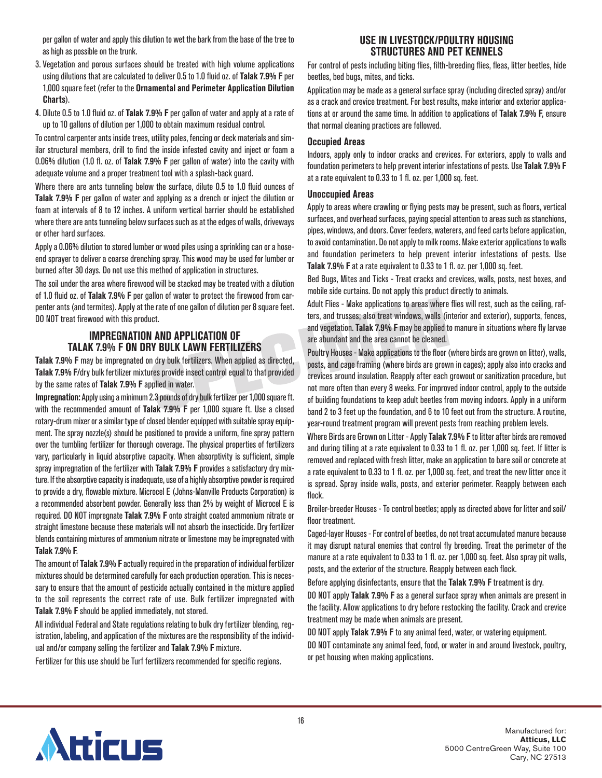per gallon of water and apply this dilution to wet the bark from the base of the tree to as high as possible on the trunk.

- 3. Vegetation and porous surfaces should be treated with high volume applications using dilutions that are calculated to deliver 0.5 to 1.0 fluid oz. of **Talak 7.9% F** per 1,000 square feet (refer to the **Ornamental and Perimeter Application Dilution Charts**).
- 4. Dilute 0.5 to 1.0 fluid oz. of **Talak 7.9% F** per gallon of water and apply at a rate of up to 10 gallons of dilution per 1,000 to obtain maximum residual control.

To control carpenter ants inside trees, utility poles, fencing or deck materials and similar structural members, drill to find the inside infested cavity and inject or foam a 0.06% dilution (1.0 fl. oz. of **Talak 7.9% F** per gallon of water) into the cavity with adequate volume and a proper treatment tool with a splash-back guard.

Where there are ants tunneling below the surface, dilute 0.5 to 1.0 fluid ounces of **Talak 7.9% F** per gallon of water and applying as a drench or inject the dilution or foam at intervals of 8 to 12 inches. A uniform vertical barrier should be established where there are ants tunneling below surfaces such as at the edges of walls, driveways or other hard surfaces.

Apply a 0.06% dilution to stored lumber or wood piles using a sprinkling can or a hoseend sprayer to deliver a coarse drenching spray. This wood may be used for lumber or burned after 30 days. Do not use this method of application in structures.

The soil under the area where firewood will be stacked may be treated with a dilution of 1.0 fluid oz. of **Talak 7.9% F** per gallon of water to protect the firewood from carpenter ants (and termites). Apply at the rate of one gallon of dilution per 8 square feet. DO NOT treat firewood with this product.

#### **IMPREGNATION AND APPLICATION OF TALAK 7.9% F ON DRY BULK LAWN FERTILIZERS**

**Talak 7.9% F** may be impregnated on dry bulk fertilizers. When applied as directed, **Talak 7.9% F**/dry bulk fertilizer mixtures provide insect control equal to that provided by the same rates of **Talak 7.9% F** applied in water.

**Impregnation:** Apply using a minimum 2.3 pounds of dry bulk fertilizer per 1,000 square ft. with the recommended amount of **Talak 7.9% F** per 1,000 square ft. Use a closed rotary-drum mixer or a similar type of closed blender equipped with suitable spray equipment. The spray nozzle(s) should be positioned to provide a uniform, fine spray pattern over the tumbling fertilizer for thorough coverage. The physical properties of fertilizers vary, particularly in liquid absorptive capacity. When absorptivity is sufficient, simple spray impregnation of the fertilizer with **Talak 7.9% F** provides a satisfactory dry mixture. If the absorptive capacity is inadequate, use of a highly absorptive powder is required to provide a dry, flowable mixture. Microcel E (Johns-Manville Products Corporation) is a recommended absorbent powder. Generally less than 2% by weight of Microcel E is required. DO NOT impregnate **Talak 7.9% F** onto straight coated ammonium nitrate or straight limestone because these materials will not absorb the insecticide. Dry fertilizer blends containing mixtures of ammonium nitrate or limestone may be impregnated with **Talak 7.9% F**.

The amount of **Talak 7.9% F** actually required in the preparation of individual fertilizer mixtures should be determined carefully for each production operation. This is necessary to ensure that the amount of pesticide actually contained in the mixture applied to the soil represents the correct rate of use. Bulk fertilizer impregnated with **Talak 7.9% F** should be applied immediately, not stored.

All individual Federal and State regulations relating to bulk dry fertilizer blending, registration, labeling, and application of the mixtures are the responsibility of the individual and/or company selling the fertilizer and **Talak 7.9% F** mixture.

Fertilizer for this use should be Turf fertilizers recommended for specific regions.

#### **USE IN LIVESTOCK/POULTRY HOUSING STRUCTURES AND PET KENNELS**

For control of pests including biting flies, filth-breeding flies, fleas, litter beetles, hide beetles, bed bugs, mites, and ticks.

Application may be made as a general surface spray (including directed spray) and/or as a crack and crevice treatment. For best results, make interior and exterior applications at or around the same time. In addition to applications of **Talak 7.9% F**, ensure that normal cleaning practices are followed.

#### **Occupied Areas**

Indoors, apply only to indoor cracks and crevices. For exteriors, apply to walls and foundation perimeters to help prevent interior infestations of pests. Use **Talak 7.9% F** at a rate equivalent to 0.33 to 1 fl. oz. per 1,000 sq. feet.

#### **Unoccupied Areas**

Apply to areas where crawling or flying pests may be present, such as floors, vertical surfaces, and overhead surfaces, paying special attention to areas such as stanchions, pipes, windows, and doors. Cover feeders, waterers, and feed carts before application, to avoid contamination. Do not apply to milk rooms. Make exterior applications to walls and foundation perimeters to help prevent interior infestations of pests. Use **Talak 7.9% F** at a rate equivalent to 0.33 to 1 fl. oz. per 1,000 sq. feet.

Bed Bugs, Mites and Ticks - Treat cracks and crevices, walls, posts, nest boxes, and mobile side curtains. Do not apply this product directly to animals.

Adult Flies - Make applications to areas where flies will rest, such as the ceiling, rafters, and trusses; also treat windows, walls (interior and exterior), supports, fences, and vegetation. **Talak 7.9% F** may be applied to manure in situations where fly larvae are abundant and the area cannot be cleaned.

Poultry Houses - Make applications to the floor (where birds are grown on litter), walls, posts, and cage framing (where birds are grown in cages); apply also into cracks and crevices around insulation. Reapply after each growout or sanitization procedure, but not more often than every 8 weeks. For improved indoor control, apply to the outside of building foundations to keep adult beetles from moving indoors. Apply in a uniform band 2 to 3 feet up the foundation, and 6 to 10 feet out from the structure. A routine, year-round treatment program will prevent pests from reaching problem levels.

Where Birds are Grown on Litter - Apply **Talak 7.9% F** to litter after birds are removed and during tilling at a rate equivalent to 0.33 to 1 fl. oz. per 1,000 sq. feet. If litter is removed and replaced with fresh litter, make an application to bare soil or concrete at a rate equivalent to 0.33 to 1 fl. oz. per 1,000 sq. feet, and treat the new litter once it is spread. Spray inside walls, posts, and exterior perimeter. Reapply between each flock.

Broiler-breeder Houses - To control beetles; apply as directed above for litter and soil/ floor treatment.

Caged-layer Houses - For control of beetles, do not treat accumulated manure because it may disrupt natural enemies that control fly breeding. Treat the perimeter of the manure at a rate equivalent to 0.33 to 1 fl. oz. per 1,000 sq. feet. Also spray pit walls, posts, and the exterior of the structure. Reapply between each flock.

Before applying disinfectants, ensure that the **Talak 7.9% F** treatment is dry.

DO NOT apply **Talak 7.9% F** as a general surface spray when animals are present in the facility. Allow applications to dry before restocking the facility. Crack and crevice treatment may be made when animals are present.

DO NOT apply **Talak 7.9% F** to any animal feed, water, or watering equipment.

DO NOT contaminate any animal feed, food, or water in and around livestock, poultry, or pet housing when making applications.